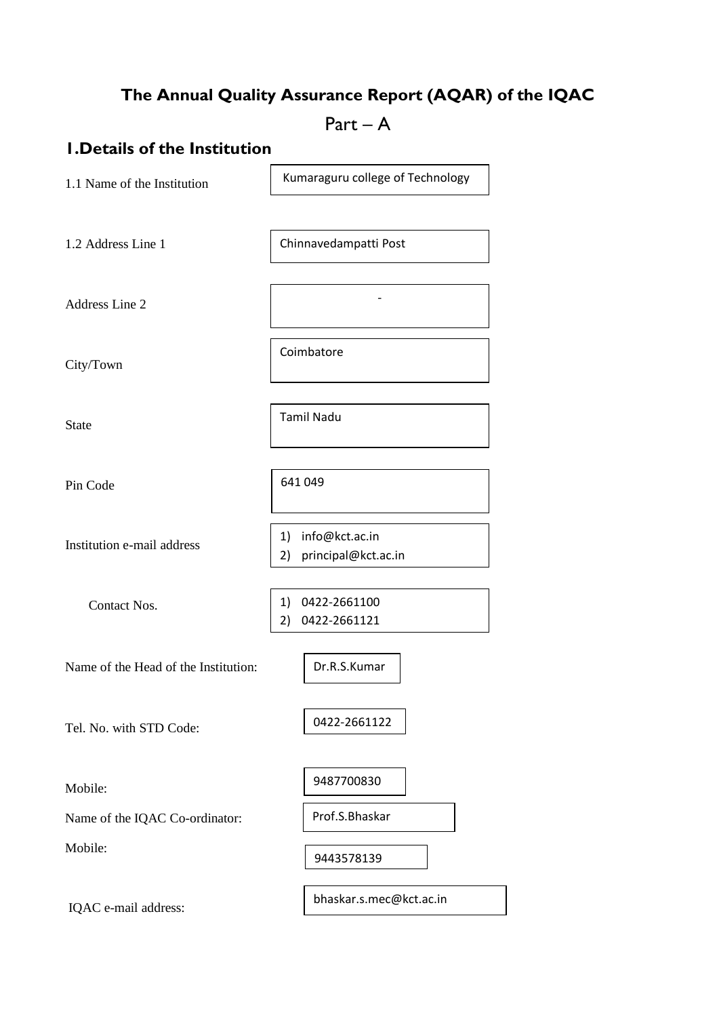# **The Annual Quality Assurance Report (AQAR) of the IQAC**

 $Part - A$ 

### **1.Details of the Institution**

1.1 Name of the Institution

Kumaraguru college of Technology

-

Chinnavedampatti Post

Coimbatore

Tamil Nadu

641 049

1.2 Address Line 1

Address Line 2

City/Town

State

Pin Code

Institution e-mail address

Contact Nos.

1) 0422-2661100 2) 0422-2661121

Dr.R.S.Kumar

1) info@kct.ac.in 2) principal@kct.ac.in

Name of the Head of the Institution:

Tel. No. with STD Code:

0422-2661122

Mobile:

Name of the IQAC Co-ordinator:

Mobile:

IQAC e-mail address:

9487700830

Prof.S.Bhaskar

9443578139

bhaskar.s.mec@kct.ac.in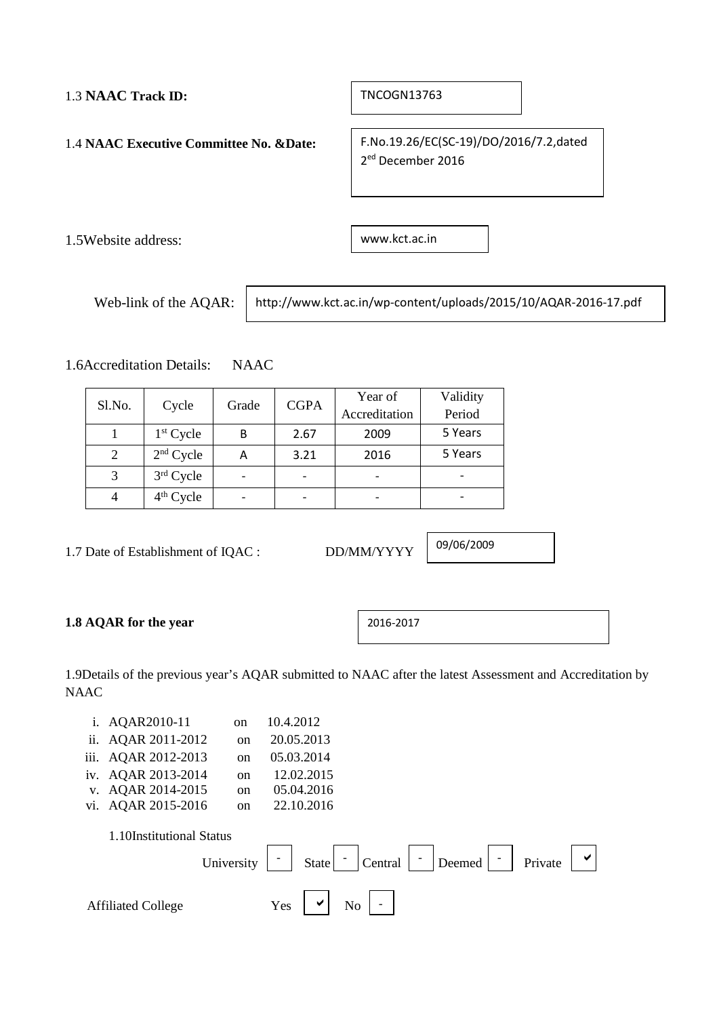### 1.3 **NAAC Track ID:**

TNCOGN13763

1.4 **NAAC Executive Committee No. &Date:**

F.No.19.26/EC(SC-19)/DO/2016/7.2,dated 2ed December 2016

1.5Website address:

www.kct.ac.in

Web-link of the AQAR:

http://www.kct.ac.in/wp-content/uploads/2015/10/AQAR-2016-17.pdf

1.6Accreditation Details: NAAC

| <b>CGPA</b><br>Sl.No.<br>Cycle<br>Grade |             | Year of | Validity |      |               |        |
|-----------------------------------------|-------------|---------|----------|------|---------------|--------|
|                                         |             |         |          |      | Accreditation | Period |
|                                         | $1st$ Cycle | В       | 2.67     | 2009 | 5 Years       |        |
| 2                                       | $2nd$ Cycle | Α       | 3.21     | 2016 | 5 Years       |        |
| 3                                       | 3rd Cycle   |         |          |      |               |        |
|                                         | $4th$ Cycle |         |          |      |               |        |

1.7 Date of Establishment of IQAC : DD/MM/YYYY

09/06/2009

### **1.8 AQAR for the year**

2016-2017

1.9Details of the previous year's AQAR submitted to NAAC after the latest Assessment and Accreditation by NAAC

| 1.   | AQAR2010-11               | <sub>on</sub> | 10.4.2012  |                                                                          |
|------|---------------------------|---------------|------------|--------------------------------------------------------------------------|
| ii.  | AQAR 2011-2012            | <sub>on</sub> | 20.05.2013 |                                                                          |
| iii. | AQAR 2012-2013            | <sub>on</sub> | 05.03.2014 |                                                                          |
| iv.  | AQAR 2013-2014            | on            | 12.02.2015 |                                                                          |
| V.   | AQAR 2014-2015            | <sub>on</sub> | 05.04.2016 |                                                                          |
| vi.  | AQAR 2015-2016            | on            | 22.10.2016 |                                                                          |
|      | 1.10Institutional Status  | University    | State      | $\checkmark$<br>Central<br>$\overline{\phantom{a}}$<br>Deemed<br>Private |
|      | <b>Affiliated College</b> |               | Yes        | N <sub>o</sub>                                                           |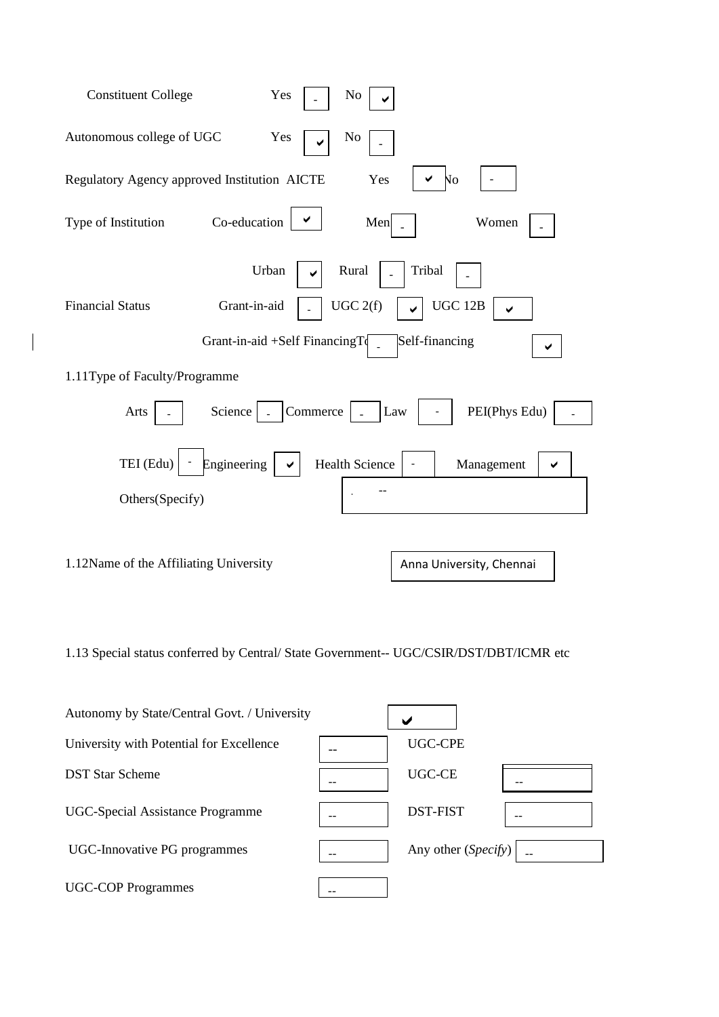| <b>Constituent College</b><br>Yes<br>No                              |
|----------------------------------------------------------------------|
| Autonomous college of UGC<br>Yes<br>N <sub>o</sub>                   |
| Regulatory Agency approved Institution AICTE<br>Yes<br>Nо            |
| Co-education<br>Type of Institution<br>Men<br>Women                  |
| Urban<br>Tribal<br>Rural                                             |
| UGC 12B<br>UGC 2(f)<br><b>Financial Status</b><br>Grant-in-aid       |
| Grant-in-aid +Self FinancingTo<br>Self-financing                     |
| 1.11Type of Faculty/Programme                                        |
| Commerce<br>PEI(Phys Edu)<br>Science<br>Arts<br>Law                  |
| TEI (Edu)<br>Engineering<br><b>Health Science</b><br>Management<br>✔ |
| Others(Specify)                                                      |
|                                                                      |
| 1.12Name of the Affiliating University<br>Anna University, Chennai   |

1.13 Special status conferred by Central/ State Government-- UGC/CSIR/DST/DBT/ICMR etc

| Autonomy by State/Central Govt. / University |                     |  |
|----------------------------------------------|---------------------|--|
| University with Potential for Excellence     | UGC-CPE             |  |
| <b>DST Star Scheme</b>                       | <b>UGC-CE</b>       |  |
| UGC-Special Assistance Programme             | <b>DST-FIST</b>     |  |
| UGC-Innovative PG programmes                 | Any other (Specify) |  |
| <b>UGC-COP Programmes</b>                    |                     |  |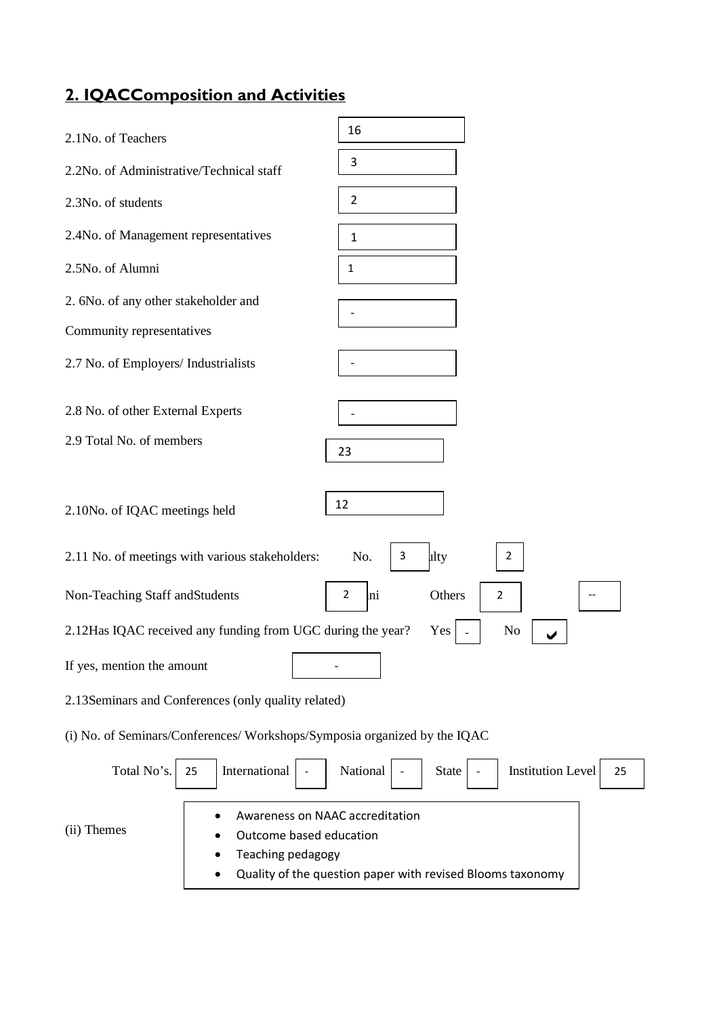# **2. IQACComposition and Activities**

| 2.1No. of Teachers                                                                             | 16                                                         |
|------------------------------------------------------------------------------------------------|------------------------------------------------------------|
| 2.2No. of Administrative/Technical staff                                                       | 3                                                          |
| 2.3No. of students                                                                             | $\overline{2}$                                             |
| 2.4No. of Management representatives                                                           | 1                                                          |
| 2.5No. of Alumni                                                                               | $\mathbf{1}$                                               |
| 2. 6No. of any other stakeholder and                                                           |                                                            |
| Community representatives                                                                      |                                                            |
| 2.7 No. of Employers/ Industrialists                                                           |                                                            |
| 2.8 No. of other External Experts                                                              |                                                            |
| 2.9 Total No. of members                                                                       | 23                                                         |
| 2.10No. of IQAC meetings held<br>2.11 No. of meetings with various stakeholders:               | 12<br>lity<br>No.<br>3<br>$\overline{2}$                   |
| Non-Teaching Staff and Students                                                                | $\overline{2}$<br>Others<br>mi<br>$\overline{2}$           |
| 2.12Has IQAC received any funding from UGC during the year?                                    | No<br>Yes                                                  |
| If yes, mention the amount                                                                     |                                                            |
| 2.13 Seminars and Conferences (only quality related)                                           |                                                            |
| (i) No. of Seminars/Conferences/ Workshops/Symposia organized by the IQAC                      |                                                            |
| Total No's.<br>International<br>25                                                             | National<br><b>Institution Level</b><br><b>State</b><br>25 |
| Awareness on NAAC accreditation<br>(ii) Themes<br>Outcome based education<br>Teaching pedagogy | Quality of the question paper with revised Blooms taxonomy |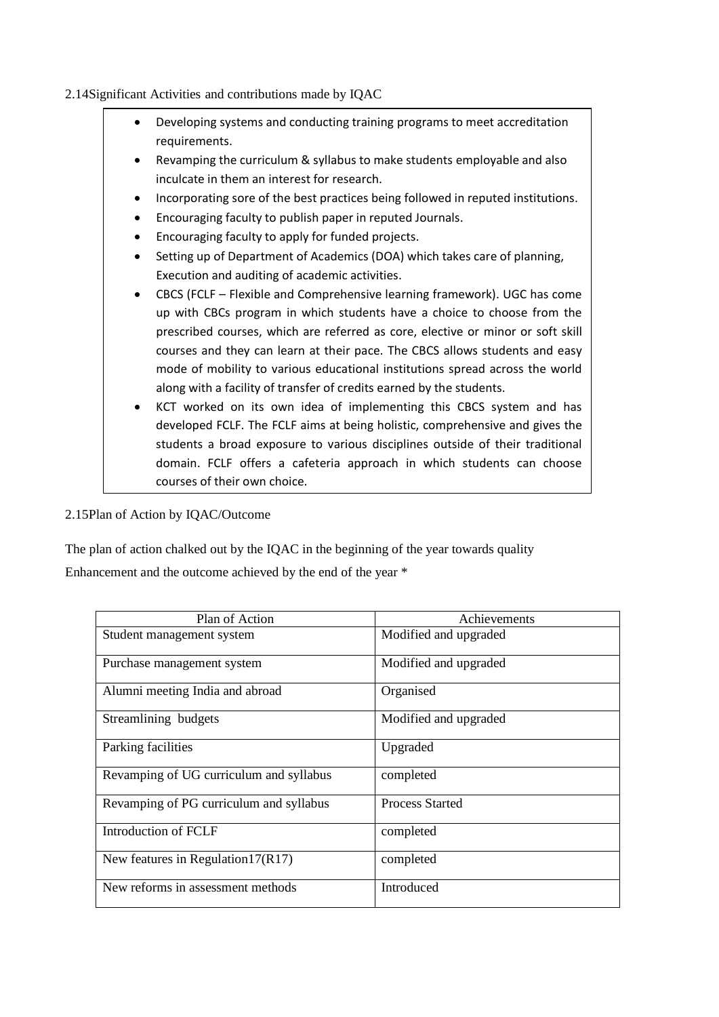### 2.14Significant Activities and contributions made by IQAC

|           | Developing systems and conducting training programs to meet accreditation        |
|-----------|----------------------------------------------------------------------------------|
|           | requirements.                                                                    |
|           | Revamping the curriculum & syllabus to make students employable and also         |
|           | inculcate in them an interest for research.                                      |
| $\bullet$ | Incorporating sore of the best practices being followed in reputed institutions. |
|           | Encouraging faculty to publish paper in reputed Journals.                        |
|           | Encouraging faculty to apply for funded projects.                                |
| $\bullet$ | Setting up of Department of Academics (DOA) which takes care of planning,        |
|           | Execution and auditing of academic activities.                                   |
|           | CBCS (FCLF - Flexible and Comprehensive learning framework). UGC has come        |
|           | up with CBCs program in which students have a choice to choose from the          |
|           | prescribed courses, which are referred as core, elective or minor or soft skill  |
|           | courses and they can learn at their pace. The CBCS allows students and easy      |
|           | mode of mobility to various educational institutions spread across the world     |
|           | along with a facility of transfer of credits earned by the students.             |
|           | KCT worked on its own idea of implementing this CBCS system and has              |
|           | developed FCLF. The FCLF aims at being holistic, comprehensive and gives the     |
|           | students a broad exposure to various disciplines outside of their traditional    |
|           | domain. FCLF offers a cafeteria approach in which students can choose            |
|           | courses of their own choice.                                                     |

2.15Plan of Action by IQAC/Outcome

The plan of action chalked out by the IQAC in the beginning of the year towards quality Enhancement and the outcome achieved by the end of the year \*

| Plan of Action                          | Achievements           |
|-----------------------------------------|------------------------|
| Student management system               | Modified and upgraded  |
| Purchase management system              | Modified and upgraded  |
| Alumni meeting India and abroad         | Organised              |
| Streamlining budgets                    | Modified and upgraded  |
| Parking facilities                      | Upgraded               |
| Revamping of UG curriculum and syllabus | completed              |
| Revamping of PG curriculum and syllabus | <b>Process Started</b> |
| Introduction of FCLF                    | completed              |
| New features in Regulation $17(R17)$    | completed              |
| New reforms in assessment methods       | Introduced             |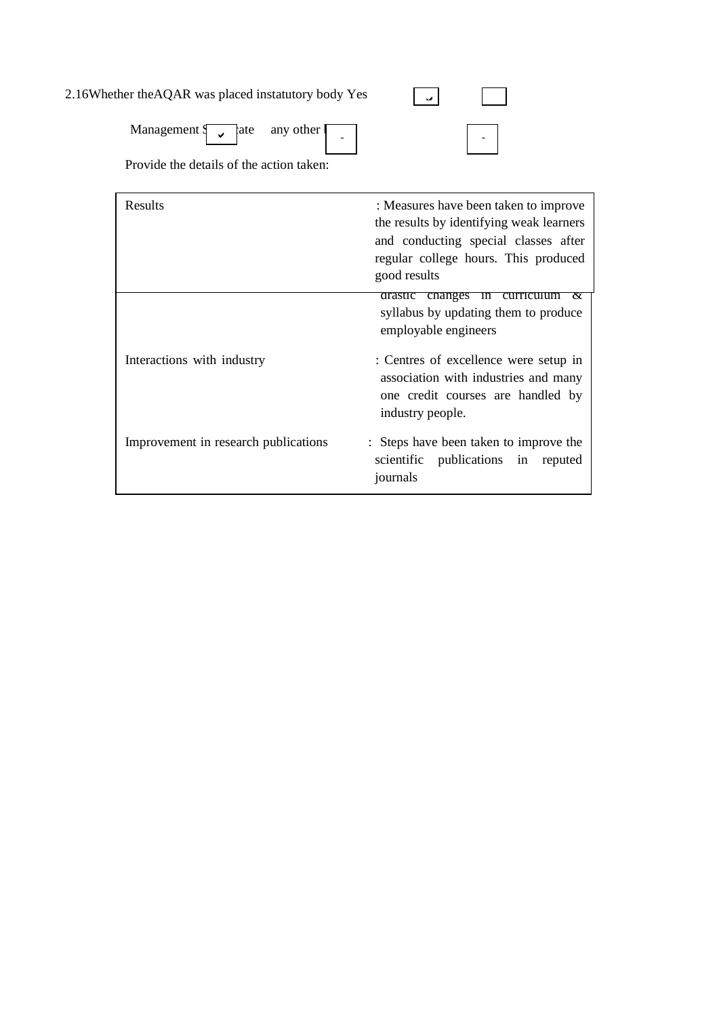| 2.16Whether the AQAR was placed instatutory body Yes                                                                   |  |
|------------------------------------------------------------------------------------------------------------------------|--|
| Management $\begin{bmatrix} 1 & 1 \\ 1 & 1 \end{bmatrix}$ ate any other $\begin{bmatrix} 1 & 1 \\ 1 & 1 \end{bmatrix}$ |  |
| Provide the details of the action taken:                                                                               |  |

| Results                              | : Measures have been taken to improve<br>the results by identifying weak learners<br>and conducting special classes after<br>regular college hours. This produced<br>good results |
|--------------------------------------|-----------------------------------------------------------------------------------------------------------------------------------------------------------------------------------|
|                                      | drastic changes in<br>curriculum<br>$\alpha$<br>syllabus by updating them to produce<br>employable engineers                                                                      |
| Interactions with industry           | : Centres of excellence were setup in<br>association with industries and many<br>one credit courses are handled by<br>industry people.                                            |
| Improvement in research publications | : Steps have been taken to improve the<br>scientific publications in reputed<br>journals                                                                                          |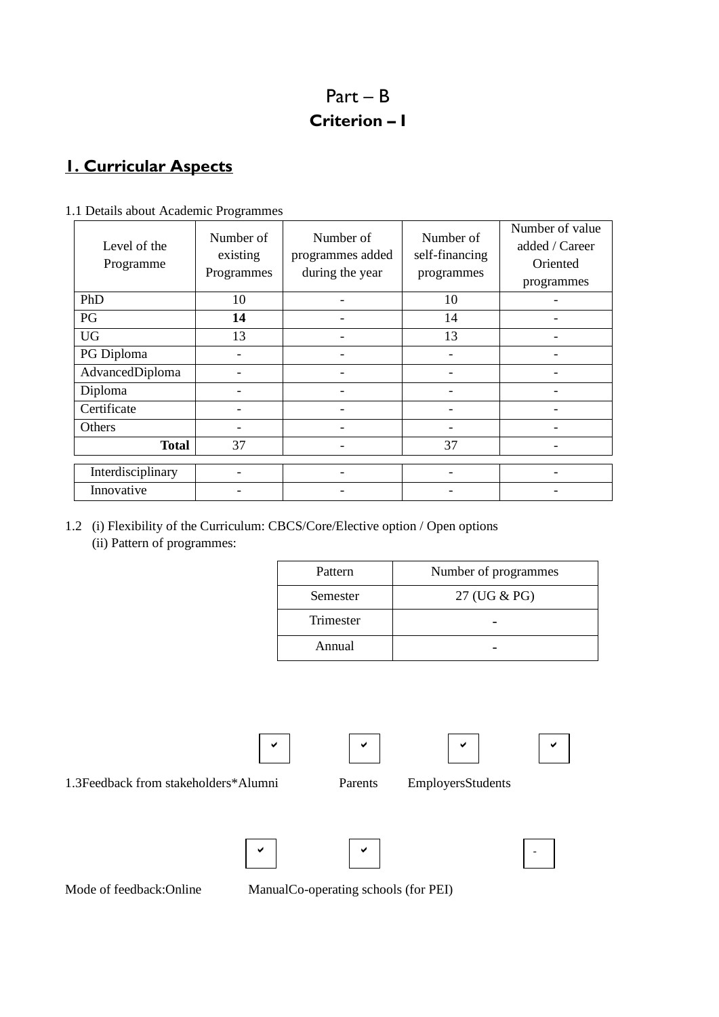# Part – B **Criterion – I**

# **1. Curricular Aspects**

| Level of the<br>Programme | ັ<br>Number of<br>existing<br>Programmes | Number of<br>programmes added<br>during the year | Number of<br>self-financing<br>programmes | Number of value<br>added / Career<br>Oriented<br>programmes |
|---------------------------|------------------------------------------|--------------------------------------------------|-------------------------------------------|-------------------------------------------------------------|
| PhD                       | 10                                       |                                                  | 10                                        |                                                             |
| PG                        | 14                                       |                                                  | 14                                        |                                                             |
| <b>UG</b>                 | 13                                       |                                                  | 13                                        |                                                             |
| PG Diploma                |                                          | $\overline{\phantom{0}}$                         | $\qquad \qquad \blacksquare$              |                                                             |
| AdvancedDiploma           |                                          |                                                  |                                           |                                                             |
| Diploma                   |                                          |                                                  |                                           |                                                             |
| Certificate               |                                          | $\qquad \qquad \blacksquare$                     | -                                         |                                                             |
| Others                    |                                          |                                                  |                                           |                                                             |
| <b>Total</b>              | 37                                       | $\overline{\phantom{0}}$                         | 37                                        |                                                             |
| Interdisciplinary         |                                          |                                                  |                                           |                                                             |
| Innovative                |                                          |                                                  |                                           |                                                             |

1.1 Details about Academic Programmes

1.2 (i) Flexibility of the Curriculum: CBCS/Core/Elective option / Open options (ii) Pattern of programmes:

| Pattern   | Number of programmes |  |
|-----------|----------------------|--|
| Semester  | 27 (UG & PG)         |  |
| Trimester |                      |  |
| Annual    |                      |  |

1.3Feedback from stakeholders\*Alumni Parents EmployersStudents

v | v | v | v | v | v



Mode of feedback:Online ManualCo-operating schools (for PEI)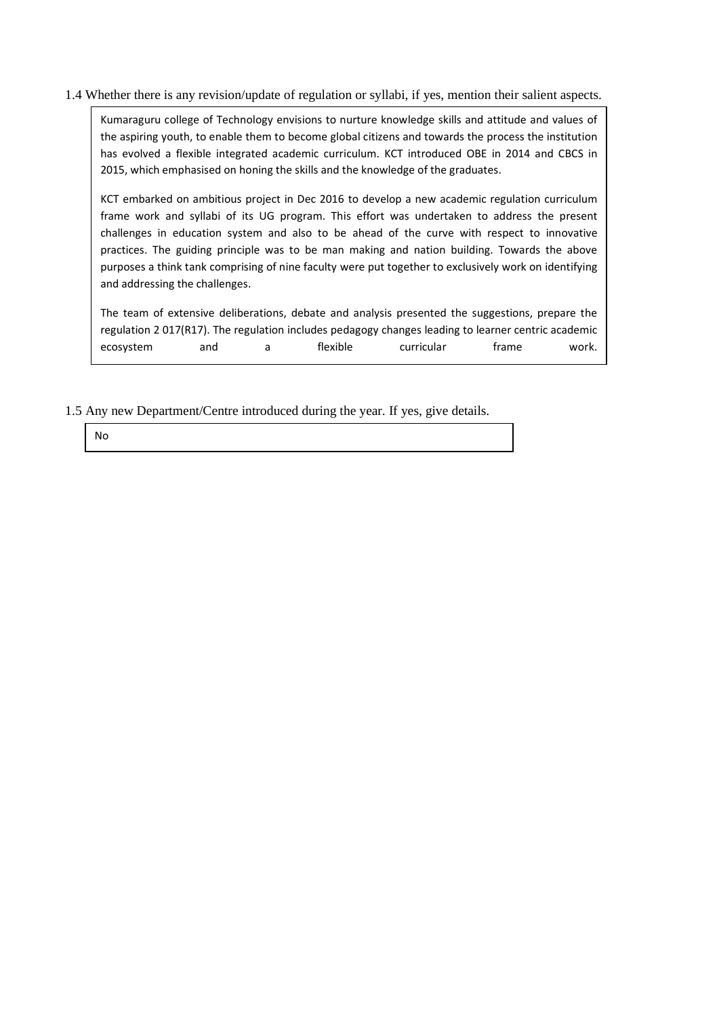#### 1.4 Whether there is any revision/update of regulation or syllabi, if yes, mention their salient aspects.

Kumaraguru college of Technology envisions to nurture knowledge skills and attitude and values of the aspiring youth, to enable them to become global citizens and towards the process the institution has evolved a flexible integrated academic curriculum. KCT introduced OBE in 2014 and CBCS in 2015, which emphasised on honing the skills and the knowledge of the graduates.

KCT embarked on ambitious project in Dec 2016 to develop a new academic regulation curriculum frame work and syllabi of its UG program. This effort was undertaken to address the present challenges in education system and also to be ahead of the curve with respect to innovative practices. The guiding principle was to be man making and nation building. Towards the above purposes a think tank comprising of nine faculty were put together to exclusively work on identifying and addressing the challenges.

The team of extensive deliberations, debate and analysis presented the suggestions, prepare the regulation 2 017(R17). The regulation includes pedagogy changes leading to learner centric academic ecosystem and a flexible curricular frame work.

1.5 Any new Department/Centre introduced during the year. If yes, give details.

No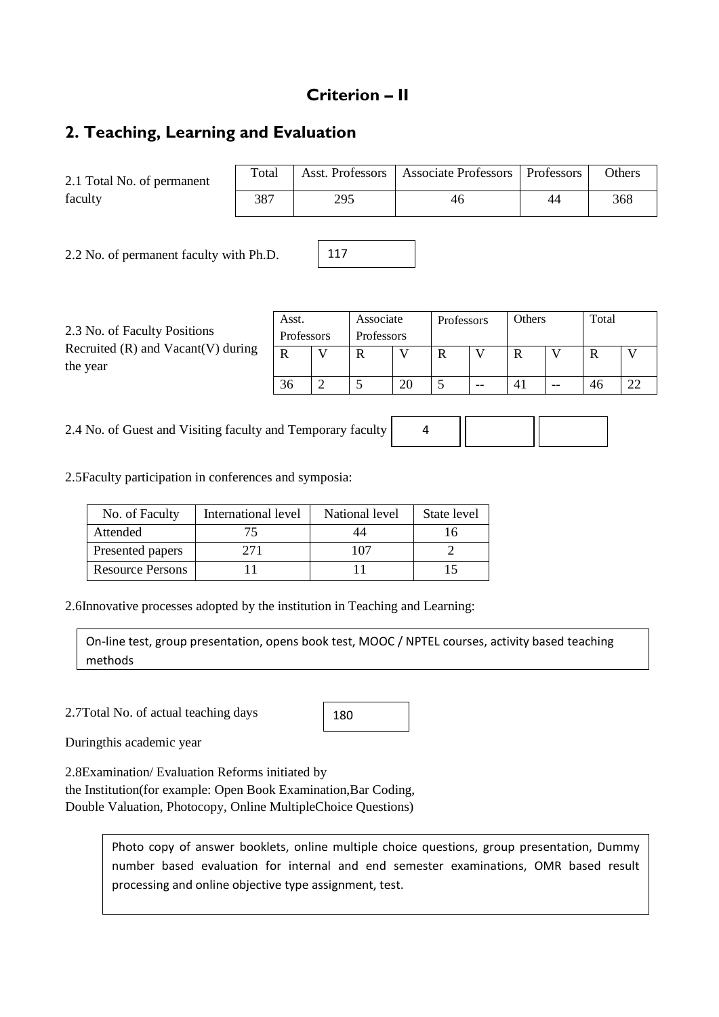### **Criterion – II**

# **2. Teaching, Learning and Evaluation**

2.1 Total No. of permanent faculty

| Total |     | Asst. Professors   Associate Professors   Professors |    | <b>Others</b> |
|-------|-----|------------------------------------------------------|----|---------------|
| 387   | 295 | 46                                                   | 44 | 368           |

2.2 No. of permanent faculty with Ph.D.

| 2.3 No. of Faculty Positions<br>Recruited $(R)$ and Vacant $(V)$ during<br>the year | Asst.<br>Professors |              | Associate<br>Professors |    | Professors |    | Others |       | Total |    |
|-------------------------------------------------------------------------------------|---------------------|--------------|-------------------------|----|------------|----|--------|-------|-------|----|
|                                                                                     | $\mathbf R$         | $\mathbf{V}$ |                         |    | R          |    | R      |       |       |    |
|                                                                                     | 36                  |              |                         | 20 |            | -- | 41     | $- -$ | 46    | 22 |

117

2.4 No. of Guest and Visiting faculty and Temporary faculty

2.5Faculty participation in conferences and symposia:

| No. of Faculty          | International level | National level | State level |
|-------------------------|---------------------|----------------|-------------|
| Attended                |                     | 44             |             |
| Presented papers        | 271                 | 107            |             |
| <b>Resource Persons</b> |                     |                |             |

2.6Innovative processes adopted by the institution in Teaching and Learning:

On-line test, group presentation, opens book test, MOOC / NPTEL courses, activity based teaching methods

2.7Total No. of actual teaching days

| 180 |  |
|-----|--|
|-----|--|

Duringthis academic year

2.8Examination/ Evaluation Reforms initiated by

the Institution(for example: Open Book Examination,Bar Coding, Double Valuation, Photocopy, Online MultipleChoice Questions)

> Photo copy of answer booklets, online multiple choice questions, group presentation, Dummy number based evaluation for internal and end semester examinations, OMR based result processing and online objective type assignment, test.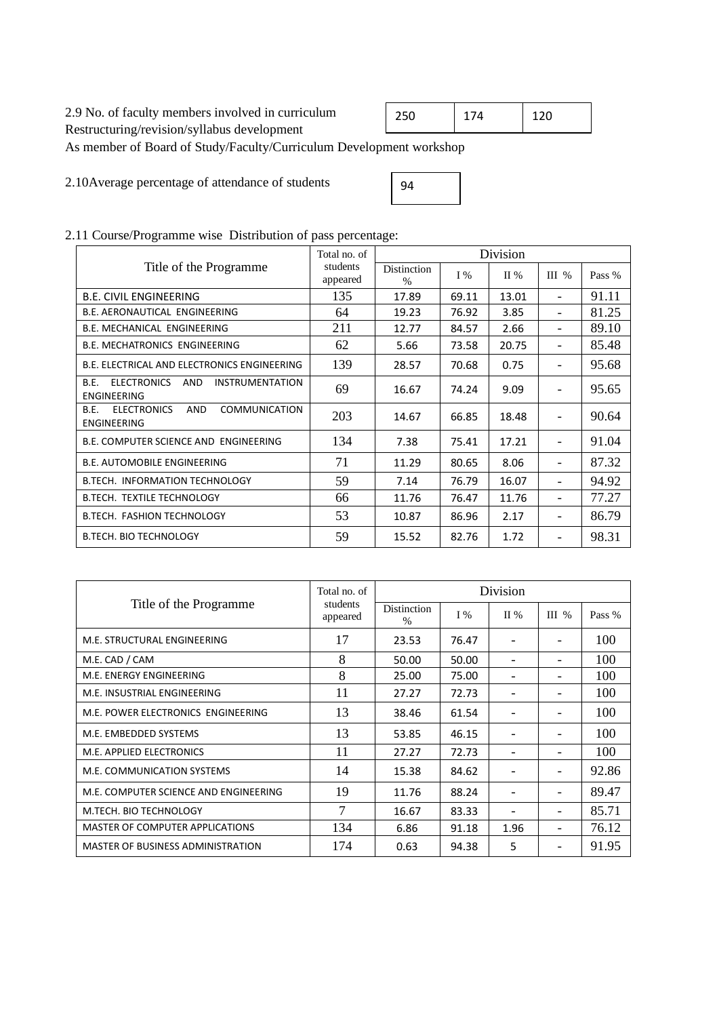### 2.9 No. of faculty members involved in curriculum

Restructuring/revision/syllabus development

As member of Board of Study/Faculty/Curriculum Development workshop

2.10Average percentage of attendance of students

| 94 |  |
|----|--|

### 2.11 Course/Programme wise Distribution of pass percentage:

|                                                                                               | Total no. of         |                                     |       | Division |                              |        |
|-----------------------------------------------------------------------------------------------|----------------------|-------------------------------------|-------|----------|------------------------------|--------|
| Title of the Programme                                                                        | students<br>appeared | <b>Distinction</b><br>$\frac{0}{0}$ | $I\%$ | II %     | $III$ %                      | Pass % |
| <b>B.E. CIVIL ENGINEERING</b>                                                                 | 135                  | 17.89                               | 69.11 | 13.01    | $\overline{\phantom{0}}$     | 91.11  |
| B.E. AERONAUTICAL ENGINEERING                                                                 | 64                   | 19.23                               | 76.92 | 3.85     | $\qquad \qquad \blacksquare$ | 81.25  |
| B.E. MECHANICAL ENGINEERING                                                                   | 211                  | 12.77                               | 84.57 | 2.66     | $\overline{\phantom{0}}$     | 89.10  |
| <b>B.E. MECHATRONICS ENGINEERING</b>                                                          | 62                   | 5.66                                | 73.58 | 20.75    | $\qquad \qquad \blacksquare$ | 85.48  |
| B.E. ELECTRICAL AND ELECTRONICS ENGINEERING                                                   | 139                  | 28.57                               | 70.68 | 0.75     | -                            | 95.68  |
| <b>ELECTRONICS</b><br><b>AND</b><br><b>INSTRUMENTATION</b><br>B.F.<br><b>ENGINEERING</b>      | 69                   | 16.67                               | 74.24 | 9.09     | $\overline{\phantom{a}}$     | 95.65  |
| <b>ELECTRONICS</b><br><b>COMMUNICATION</b><br><b>AND</b><br><b>B.E.</b><br><b>ENGINEERING</b> | 203                  | 14.67                               | 66.85 | 18.48    | $\overline{\phantom{0}}$     | 90.64  |
| <b>B.E. COMPUTER SCIENCE AND ENGINEERING</b>                                                  | 134                  | 7.38                                | 75.41 | 17.21    | $\overline{\phantom{0}}$     | 91.04  |
| <b>B.E. AUTOMOBILE ENGINEERING</b>                                                            | 71                   | 11.29                               | 80.65 | 8.06     | $\overline{\phantom{a}}$     | 87.32  |
| B.TECH. INFORMATION TECHNOLOGY                                                                | 59                   | 7.14                                | 76.79 | 16.07    | $\qquad \qquad \blacksquare$ | 94.92  |
| <b>B.TECH. TEXTILE TECHNOLOGY</b>                                                             | 66                   | 11.76                               | 76.47 | 11.76    | $\overline{\phantom{0}}$     | 77.27  |
| <b>B.TECH. FASHION TECHNOLOGY</b>                                                             | 53                   | 10.87                               | 86.96 | 2.17     | $\overline{\phantom{a}}$     | 86.79  |
| <b>B.TECH. BIO TECHNOLOGY</b>                                                                 | 59                   | 15.52                               | 82.76 | 1.72     | $\overline{\phantom{a}}$     | 98.31  |

|                                       | Total no. of         | Division                            |       |         |                              |        |  |
|---------------------------------------|----------------------|-------------------------------------|-------|---------|------------------------------|--------|--|
| Title of the Programme                | students<br>appeared | <b>Distinction</b><br>$\frac{0}{0}$ | $I\%$ | $\Pi$ % | $III$ %                      | Pass % |  |
| M.E. STRUCTURAL ENGINEERING           | 17                   | 23.53                               | 76.47 |         |                              | 100    |  |
| M.E. CAD / CAM                        | 8                    | 50.00                               | 50.00 |         |                              | 100    |  |
| M.E. ENERGY ENGINEERING               | 8                    | 25.00                               | 75.00 |         |                              | 100    |  |
| M.E. INSUSTRIAL ENGINEERING           | 11                   | 27.27                               | 72.73 |         | ۰                            | 100    |  |
| M.E. POWER ELECTRONICS ENGINEERING    | 13                   | 38.46                               | 61.54 |         |                              | 100    |  |
| M.E. EMBEDDED SYSTEMS                 | 13                   | 53.85                               | 46.15 |         |                              | 100    |  |
| M.E. APPLIED ELECTRONICS              | 11                   | 27.27                               | 72.73 |         | $\qquad \qquad \blacksquare$ | 100    |  |
| M.E. COMMUNICATION SYSTEMS            | 14                   | 15.38                               | 84.62 |         |                              | 92.86  |  |
| M.E. COMPUTER SCIENCE AND ENGINEERING | 19                   | 11.76                               | 88.24 |         |                              | 89.47  |  |
| M.TECH. BIO TECHNOLOGY                | 7                    | 16.67                               | 83.33 |         |                              | 85.71  |  |
| MASTER OF COMPUTER APPLICATIONS       | 134                  | 6.86                                | 91.18 | 1.96    | -                            | 76.12  |  |
| MASTER OF BUSINESS ADMINISTRATION     | 174                  | 0.63                                | 94.38 | 5       |                              | 91.95  |  |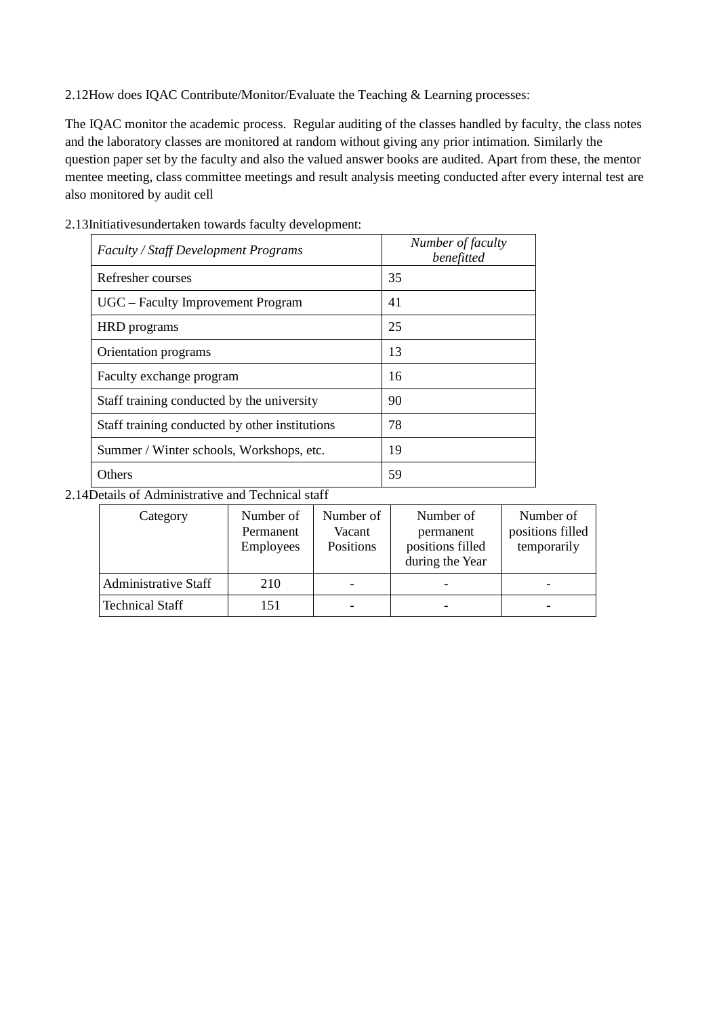2.12How does IQAC Contribute/Monitor/Evaluate the Teaching & Learning processes:

The IQAC monitor the academic process. Regular auditing of the classes handled by faculty, the class notes and the laboratory classes are monitored at random without giving any prior intimation. Similarly the question paper set by the faculty and also the valued answer books are audited. Apart from these, the mentor mentee meeting, class committee meetings and result analysis meeting conducted after every internal test are also monitored by audit cell

| <b>Faculty / Staff Development Programs</b>    | Number of faculty<br>benefitted |
|------------------------------------------------|---------------------------------|
| Refresher courses                              | 35                              |
| UGC - Faculty Improvement Program              | 41                              |
| HRD programs                                   | 25                              |
| Orientation programs                           | 13                              |
| Faculty exchange program                       | 16                              |
| Staff training conducted by the university     | 90                              |
| Staff training conducted by other institutions | 78                              |
| Summer / Winter schools, Workshops, etc.       | 19                              |
| Others                                         | 59                              |

2.13Initiativesundertaken towards faculty development:

### 2.14Details of Administrative and Technical staff

| Category                    | Number of<br>Permanent<br><b>Employees</b> | Number of<br>Vacant<br>Positions | Number of<br>permanent<br>positions filled<br>during the Year | Number of<br>positions filled<br>temporarily |
|-----------------------------|--------------------------------------------|----------------------------------|---------------------------------------------------------------|----------------------------------------------|
| <b>Administrative Staff</b> | 210                                        |                                  |                                                               |                                              |
| <b>Technical Staff</b>      | 151                                        |                                  |                                                               | -                                            |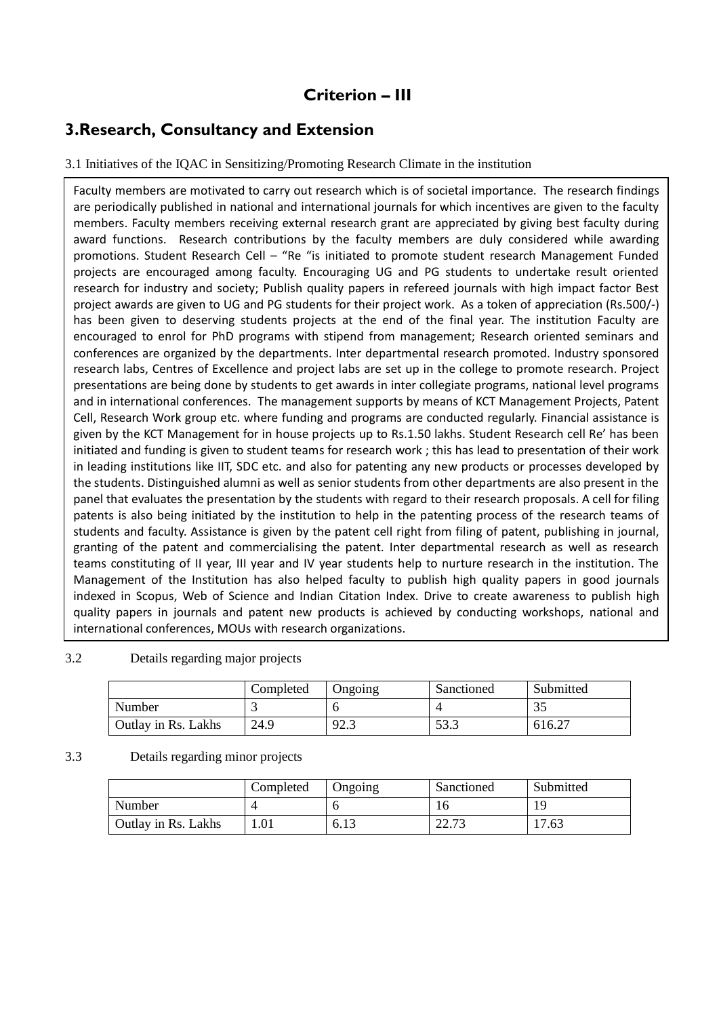# **Criterion – III**

### **3.Research, Consultancy and Extension**

### 3.1 Initiatives of the IQAC in Sensitizing/Promoting Research Climate in the institution

Faculty members are motivated to carry out research which is of societal importance. The research findings are periodically published in national and international journals for which incentives are given to the faculty members. Faculty members receiving external research grant are appreciated by giving best faculty during award functions. Research contributions by the faculty members are duly considered while awarding promotions. Student Research Cell – "Re "is initiated to promote student research Management Funded projects are encouraged among faculty. Encouraging UG and PG students to undertake result oriented research for industry and society; Publish quality papers in refereed journals with high impact factor Best project awards are given to UG and PG students for their project work. As a token of appreciation (Rs.500/-) has been given to deserving students projects at the end of the final year. The institution Faculty are encouraged to enrol for PhD programs with stipend from management; Research oriented seminars and conferences are organized by the departments. Inter departmental research promoted. Industry sponsored research labs, Centres of Excellence and project labs are set up in the college to promote research. Project presentations are being done by students to get awards in inter collegiate programs, national level programs and in international conferences. The management supports by means of KCT Management Projects, Patent Cell, Research Work group etc. where funding and programs are conducted regularly. Financial assistance is given by the KCT Management for in house projects up to Rs.1.50 lakhs. Student Research cell Re' has been initiated and funding is given to student teams for research work ; this has lead to presentation of their work in leading institutions like IIT, SDC etc. and also for patenting any new products or processes developed by the students. Distinguished alumni as well as senior students from other departments are also present in the panel that evaluates the presentation by the students with regard to their research proposals. A cell for filing patents is also being initiated by the institution to help in the patenting process of the research teams of students and faculty. Assistance is given by the patent cell right from filing of patent, publishing in journal, granting of the patent and commercialising the patent. Inter departmental research as well as research teams constituting of II year, III year and IV year students help to nurture research in the institution. The Management of the Institution has also helped faculty to publish high quality papers in good journals indexed in Scopus, Web of Science and Indian Citation Index. Drive to create awareness to publish high quality papers in journals and patent new products is achieved by conducting workshops, national and international conferences, MOUs with research organizations.

### 3.2 Details regarding major projects

|                     | Completed | Jngoing      | Sanctioned  | Submitted |
|---------------------|-----------|--------------|-------------|-----------|
| Number              |           |              |             | 35        |
| Outlay in Rs. Lakhs | 24.9      | 92.2<br>د. ک | 52.<br>JJ.J | 616.27    |

#### 3.3 Details regarding minor projects

|                     | Completed | Ongoing | Sanctioned    | Submitted |
|---------------------|-----------|---------|---------------|-----------|
| Number              |           |         | 10            | 19        |
| Outlay in Rs. Lakhs |           | 6.13    | C CC<br>ل ن ک | 17.63     |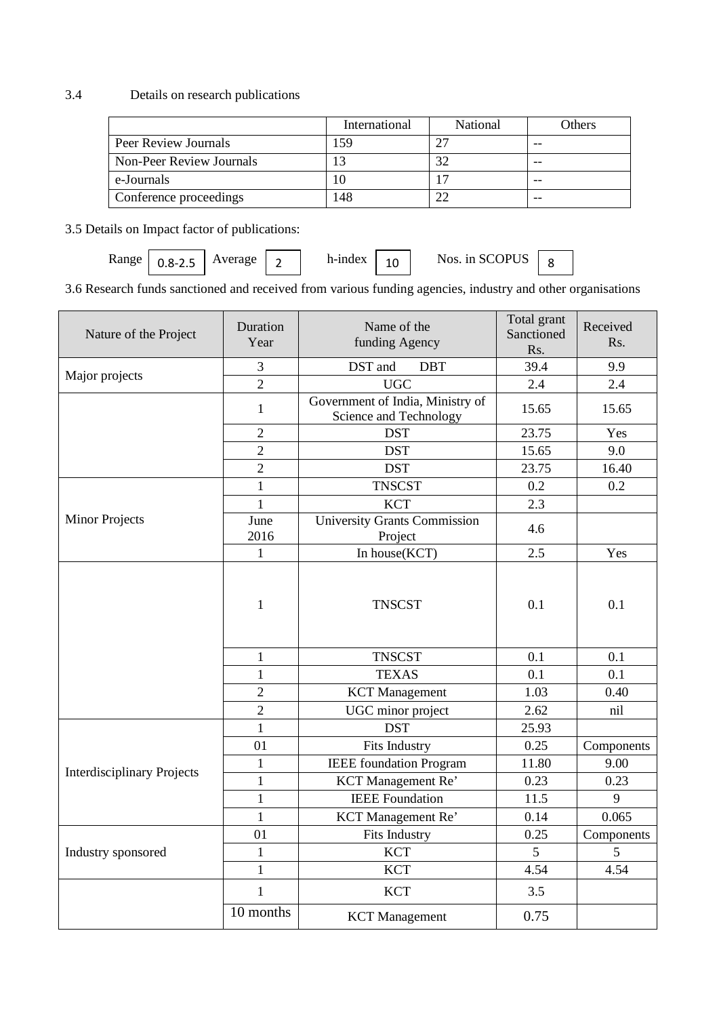### 3.4 Details on research publications

|                          | International | National | Others |
|--------------------------|---------------|----------|--------|
| Peer Review Journals     | 59            |          | --     |
| Non-Peer Review Journals |               |          | --     |
| e-Journals               |               |          | --     |
| Conference proceedings   | 148           |          | --     |

3.5 Details on Impact factor of publications:

| <b>Range</b> | $0.8 - 2.5$ | Average | - | h-index | $\sim$<br>ΨV | Js. in SCOPU <sup>r</sup><br>Nos. 1n SC |  |  |
|--------------|-------------|---------|---|---------|--------------|-----------------------------------------|--|--|
|--------------|-------------|---------|---|---------|--------------|-----------------------------------------|--|--|

3.6 Research funds sanctioned and received from various funding agencies, industry and other organisations

| Nature of the Project             | Duration<br>Year | Name of the<br>funding Agency                              | Total grant<br>Sanctioned<br>Rs. | Received<br>Rs. |
|-----------------------------------|------------------|------------------------------------------------------------|----------------------------------|-----------------|
| Major projects                    | $\mathfrak{Z}$   | DST and<br><b>DBT</b>                                      | 39.4                             | 9.9             |
|                                   | $\overline{2}$   | UGC                                                        | 2.4                              | 2.4             |
|                                   | 1                | Government of India, Ministry of<br>Science and Technology | 15.65                            | 15.65           |
|                                   | $\overline{2}$   | <b>DST</b>                                                 | 23.75                            | Yes             |
|                                   | $\overline{2}$   | <b>DST</b>                                                 | 15.65                            | 9.0             |
|                                   | $\overline{2}$   | <b>DST</b>                                                 | 23.75                            | 16.40           |
|                                   | $\mathbf{1}$     | <b>TNSCST</b>                                              | 0.2                              | 0.2             |
|                                   | $\mathbf{1}$     | <b>KCT</b>                                                 | 2.3                              |                 |
| <b>Minor Projects</b>             | June<br>2016     | <b>University Grants Commission</b><br>Project             | 4.6                              |                 |
|                                   | 1                | In house(KCT)                                              | 2.5                              | Yes             |
|                                   | $\mathbf{1}$     | <b>TNSCST</b>                                              | 0.1                              | 0.1             |
|                                   | $\mathbf{1}$     | <b>TNSCST</b>                                              | 0.1                              | 0.1             |
|                                   | $\mathbf{1}$     | <b>TEXAS</b>                                               | 0.1                              | 0.1             |
|                                   | $\overline{2}$   | <b>KCT</b> Management                                      | 1.03                             | 0.40            |
|                                   | $\overline{2}$   | UGC minor project                                          | 2.62                             | nil             |
|                                   | $\mathbf{1}$     | <b>DST</b>                                                 | 25.93                            |                 |
|                                   | 01               | Fits Industry                                              | 0.25                             | Components      |
| <b>Interdisciplinary Projects</b> | $\mathbf{1}$     | <b>IEEE</b> foundation Program                             | 11.80                            | 9.00            |
|                                   | $\mathbf{1}$     | KCT Management Re'                                         | 0.23                             | 0.23            |
|                                   | $\mathbf{1}$     | <b>IEEE</b> Foundation                                     | 11.5                             | 9               |
|                                   | $\mathbf{1}$     | KCT Management Re'                                         | 0.14                             | 0.065           |
|                                   | 01               | <b>Fits Industry</b>                                       | 0.25                             | Components      |
| Industry sponsored                | $\mathbf{1}$     | <b>KCT</b>                                                 | $5\overline{)}$                  | 5               |
|                                   | $\mathbf{1}$     | <b>KCT</b>                                                 | 4.54                             | 4.54            |
|                                   | $\mathbf{1}$     | <b>KCT</b>                                                 | 3.5                              |                 |
|                                   | 10 months        | <b>KCT</b> Management                                      | 0.75                             |                 |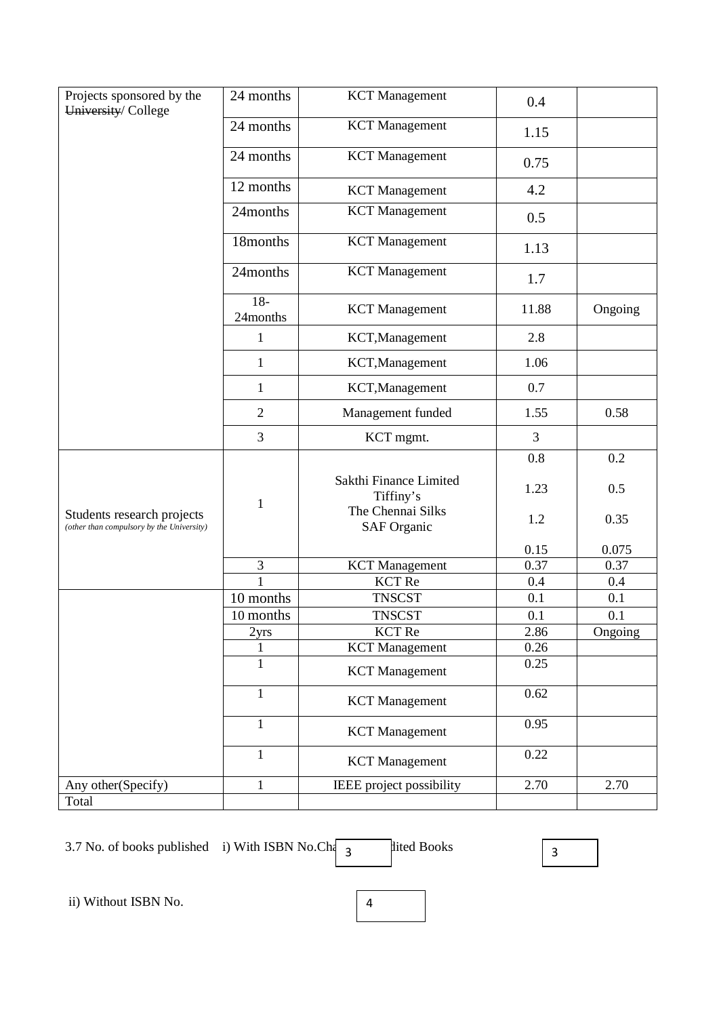| Projects sponsored by the                                               | 24 months         | <b>KCT</b> Management                   | 0.4          |         |
|-------------------------------------------------------------------------|-------------------|-----------------------------------------|--------------|---------|
| University/College                                                      | 24 months         | <b>KCT</b> Management                   | 1.15         |         |
|                                                                         |                   |                                         |              |         |
|                                                                         | 24 months         | <b>KCT</b> Management                   | 0.75         |         |
|                                                                         | 12 months         | <b>KCT</b> Management                   | 4.2          |         |
|                                                                         | 24months          | <b>KCT</b> Management                   | 0.5          |         |
|                                                                         | 18months          | <b>KCT</b> Management                   | 1.13         |         |
|                                                                         | 24months          | <b>KCT</b> Management                   | 1.7          |         |
|                                                                         | $18-$<br>24months | <b>KCT</b> Management                   | 11.88        | Ongoing |
|                                                                         | $\mathbf{1}$      | KCT, Management                         | 2.8          |         |
|                                                                         | $\mathbf{1}$      | KCT, Management                         | 1.06         |         |
|                                                                         | $\mathbf{1}$      | KCT, Management                         | 0.7          |         |
|                                                                         | $\overline{2}$    | Management funded                       | 1.55         | 0.58    |
|                                                                         | 3                 | KCT mgmt.                               | 3            |         |
|                                                                         |                   |                                         | 0.8          | 0.2     |
|                                                                         | $\mathbf{1}$      | Sakthi Finance Limited<br>Tiffiny's     | 1.23         | 0.5     |
| Students research projects<br>(other than compulsory by the University) |                   | The Chennai Silks<br><b>SAF Organic</b> | 1.2          | 0.35    |
|                                                                         |                   |                                         | 0.15         | 0.075   |
|                                                                         | $\mathfrak{Z}$    | <b>KCT</b> Management                   | 0.37         | 0.37    |
|                                                                         | 1                 | <b>KCT</b> Re                           | 0.4          | 0.4     |
|                                                                         | 10 months         | <b>TNSCST</b>                           | 0.1          | 0.1     |
|                                                                         | 10 months         | <b>TNSCST</b>                           | 0.1          | 0.1     |
|                                                                         | 2yrs              | <b>KCT</b> Re                           | 2.86         | Ongoing |
|                                                                         | 1                 | <b>KCT</b> Management                   | 0.26<br>0.25 |         |
|                                                                         | $\mathbf{1}$      | <b>KCT</b> Management                   |              |         |
|                                                                         | $\mathbf{1}$      | <b>KCT</b> Management                   | 0.62         |         |
|                                                                         | $\mathbf{1}$      | <b>KCT</b> Management                   | 0.95         |         |
|                                                                         | $\mathbf{1}$      | <b>KCT</b> Management                   | 0.22         |         |
| Any other(Specify)                                                      | $\mathbf{1}$      | IEEE project possibility                | 2.70         | 2.70    |
| Total                                                                   |                   |                                         |              |         |

3.7 No. of books published i) With ISBN No.Ch $\sqrt{3}$ 

dited Books 3

ii) Without ISBN No. 4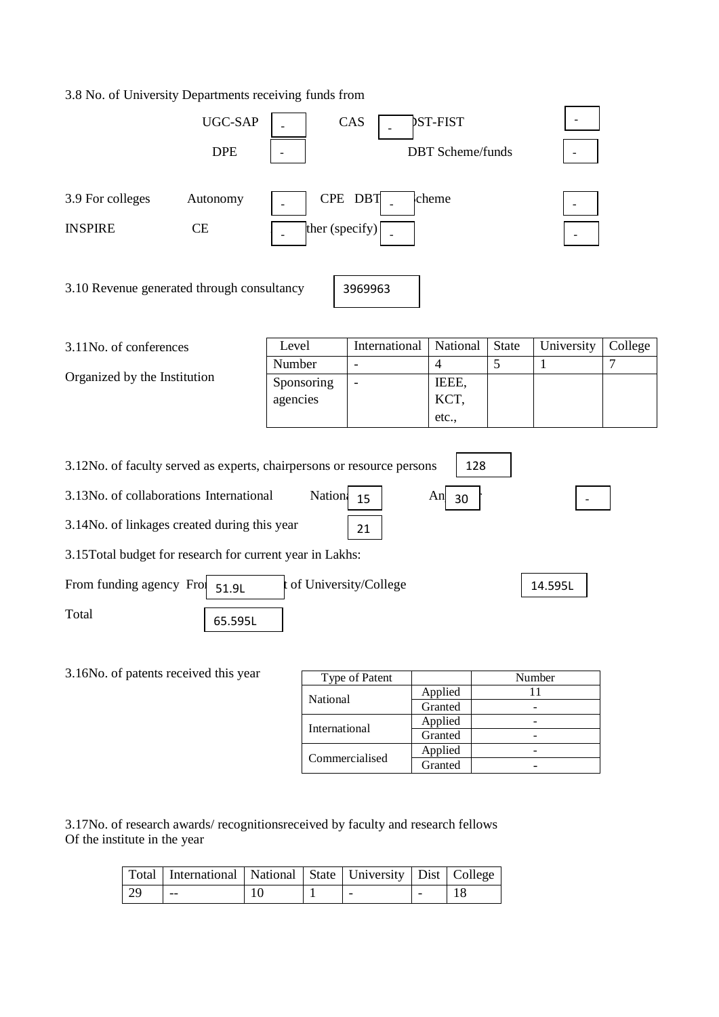#### 3.8 No. of University Departments receiving funds from



|  | inational      | Granted |  |
|--|----------------|---------|--|
|  | International  | Applied |  |
|  |                | Granted |  |
|  | Commercialised | Applied |  |
|  |                | Granted |  |
|  |                |         |  |

3.17No. of research awards/ recognitionsreceived by faculty and research fellows Of the institute in the year

|      | Total   International   National   State   University   Dist   College |    |  |                          |  |
|------|------------------------------------------------------------------------|----|--|--------------------------|--|
| - 29 | $- -$                                                                  | 10 |  | $\overline{\phantom{0}}$ |  |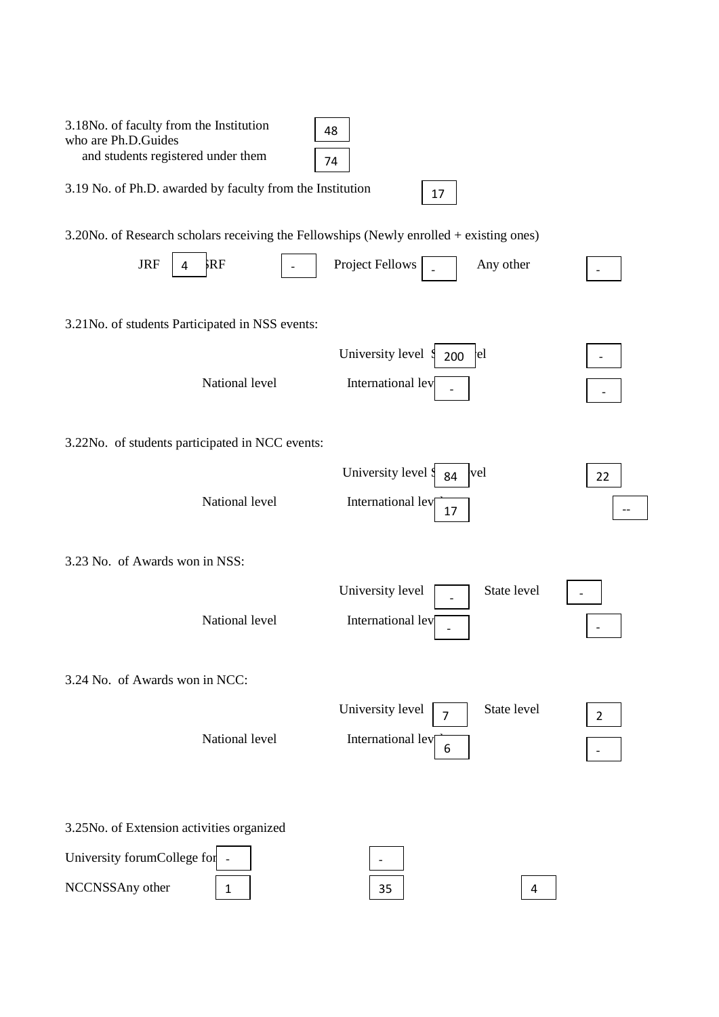| 3.18No. of faculty from the Institution<br>who are Ph.D.Guides                          | 48             |                     |                        |                |
|-----------------------------------------------------------------------------------------|----------------|---------------------|------------------------|----------------|
| and students registered under them                                                      | 74             |                     |                        |                |
| 3.19 No. of Ph.D. awarded by faculty from the Institution                               |                | 17                  |                        |                |
| 3.20No. of Research scholars receiving the Fellowships (Newly enrolled + existing ones) |                |                     |                        |                |
| <b>JRF</b><br>4                                                                         | <b>RF</b>      | Project Fellows     | Any other              |                |
| 3.21 No. of students Participated in NSS events:                                        |                |                     |                        |                |
|                                                                                         |                | University level    | <sub>l</sub> el<br>200 |                |
|                                                                                         | National level | International lev   |                        |                |
| 3.22No. of students participated in NCC events:                                         |                |                     |                        |                |
|                                                                                         |                | University level \$ | vel<br>84              | 22             |
|                                                                                         | National level | International lev   | 17                     |                |
| 3.23 No. of Awards won in NSS:                                                          |                |                     |                        |                |
|                                                                                         |                | University level    | State level            |                |
|                                                                                         | National level | International lev   |                        |                |
| 3.24 No. of Awards won in NCC:                                                          |                |                     |                        |                |
|                                                                                         |                | University level    | State level<br>7       | $\overline{2}$ |
|                                                                                         | National level | International lev   | 6                      |                |
|                                                                                         |                |                     |                        |                |
| 3.25No. of Extension activities organized                                               |                |                     |                        |                |
| University forumCollege for                                                             |                |                     |                        |                |
| NCCNSSAny other                                                                         | 1              | 35                  | 4                      |                |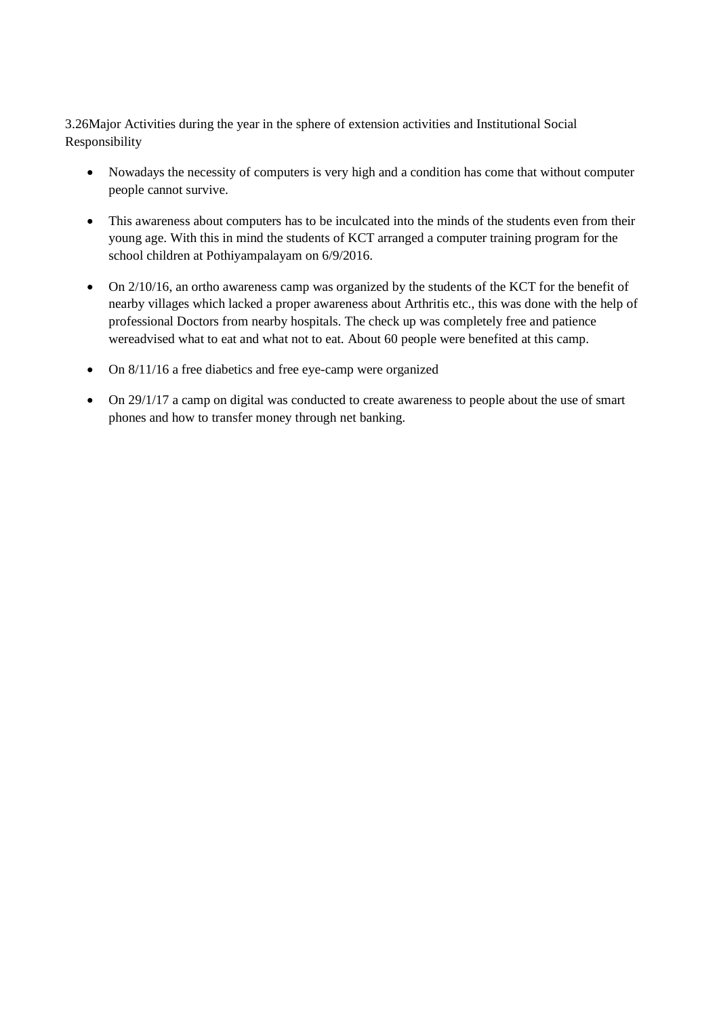3.26Major Activities during the year in the sphere of extension activities and Institutional Social Responsibility

- Nowadays the necessity of computers is very high and a condition has come that without computer people cannot survive.
- This awareness about computers has to be inculcated into the minds of the students even from their young age. With this in mind the students of KCT arranged a computer training program for the school children at Pothiyampalayam on 6/9/2016.
- On 2/10/16, an ortho awareness camp was organized by the students of the KCT for the benefit of nearby villages which lacked a proper awareness about Arthritis etc., this was done with the help of professional Doctors from nearby hospitals. The check up was completely free and patience wereadvised what to eat and what not to eat. About 60 people were benefited at this camp.
- On 8/11/16 a free diabetics and free eye-camp were organized
- On 29/1/17 a camp on digital was conducted to create awareness to people about the use of smart phones and how to transfer money through net banking.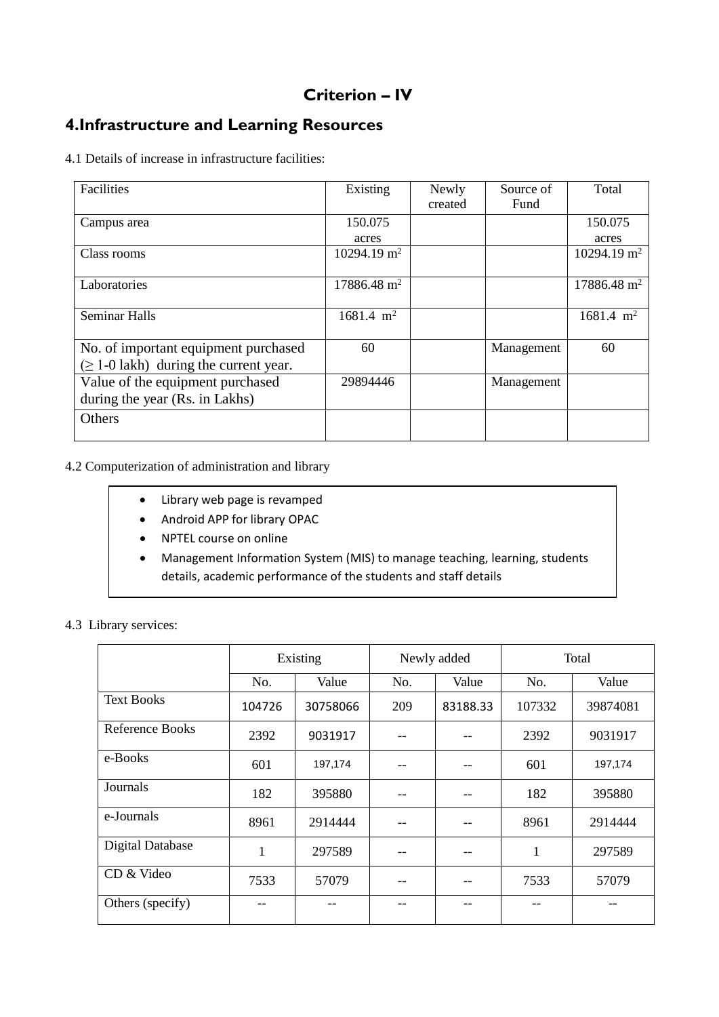# **Criterion – IV**

### **4.Infrastructure and Learning Resources**

4.1 Details of increase in infrastructure facilities:

| Facilities                                  | Existing               | Newly   | Source of  | Total                   |
|---------------------------------------------|------------------------|---------|------------|-------------------------|
|                                             |                        | created | Fund       |                         |
| Campus area                                 | 150.075                |         |            | 150.075                 |
|                                             | acres                  |         |            | acres                   |
| Class rooms                                 | $10294.19 \text{ m}^2$ |         |            | 10294.19 m <sup>2</sup> |
|                                             |                        |         |            |                         |
| Laboratories                                | $17886.48 \text{ m}^2$ |         |            | $17886.48 \text{ m}^2$  |
|                                             |                        |         |            |                         |
| <b>Seminar Halls</b>                        | $1681.4 \text{ m}^2$   |         |            | $1681.4 \text{ m}^2$    |
|                                             |                        |         |            |                         |
| No. of important equipment purchased        | 60                     |         | Management | 60                      |
| $(\geq 1$ -0 lakh) during the current year. |                        |         |            |                         |
| Value of the equipment purchased            | 29894446               |         | Management |                         |
| during the year (Rs. in Lakhs)              |                        |         |            |                         |
| Others                                      |                        |         |            |                         |
|                                             |                        |         |            |                         |

### 4.2 Computerization of administration and library

- Library web page is revamped
- Android APP for library OPAC
- NPTEL course on online
- Management Information System (MIS) to manage teaching, learning, students details, academic performance of the students and staff details

#### 4.3 Library services:

|                         | Existing |          | Newly added |          | Total  |          |
|-------------------------|----------|----------|-------------|----------|--------|----------|
|                         | No.      | Value    | No.         | Value    | No.    | Value    |
| <b>Text Books</b>       | 104726   | 30758066 | 209         | 83188.33 | 107332 | 39874081 |
| Reference Books         | 2392     | 9031917  |             |          | 2392   | 9031917  |
| e-Books                 | 601      | 197,174  |             |          | 601    | 197,174  |
| Journals                | 182      | 395880   |             |          | 182    | 395880   |
| e-Journals              | 8961     | 2914444  |             |          | 8961   | 2914444  |
| <b>Digital Database</b> | 1        | 297589   |             |          | 1      | 297589   |
| CD & Video              | 7533     | 57079    |             |          | 7533   | 57079    |
| Others (specify)        |          |          |             |          |        |          |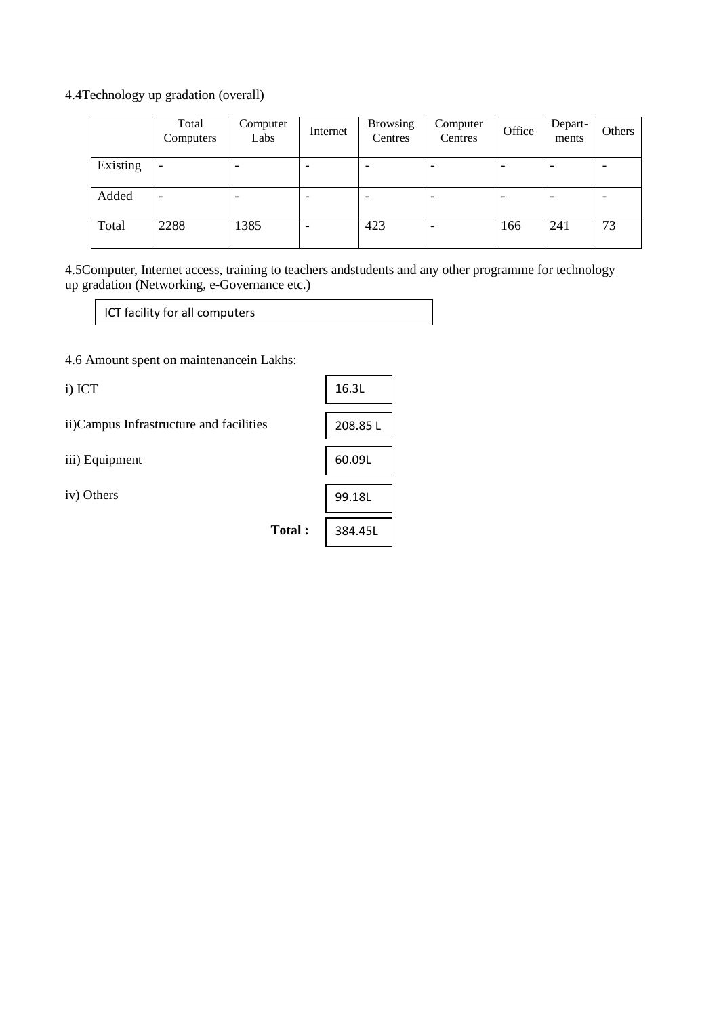4.4Technology up gradation (overall)

|          | Total<br>Computers       | Computer<br>Labs | Internet | <b>Browsing</b><br>Centres | Computer<br>Centres      | Office | Depart-<br>ments | Others |
|----------|--------------------------|------------------|----------|----------------------------|--------------------------|--------|------------------|--------|
| Existing | $\overline{\phantom{0}}$ |                  | ۰        |                            | $\overline{\phantom{0}}$ |        | -                |        |
| Added    |                          |                  | ۰        |                            | $\overline{\phantom{0}}$ |        | ۰                |        |
| Total    | 2288                     | 1385             |          | 423                        |                          | 166    | 241              | 73     |

4.5Computer, Internet access, training to teachers andstudents and any other programme for technology up gradation (Networking, e-Governance etc.)

ICT facility for all computers

4.6 Amount spent on maintenancein Lakhs:

i) ICT ii)Campus Infrastructure and facilities iii) Equipment iv) Others **Total :** 16.3L 208.85 L 60.09L 99.18L 384.45L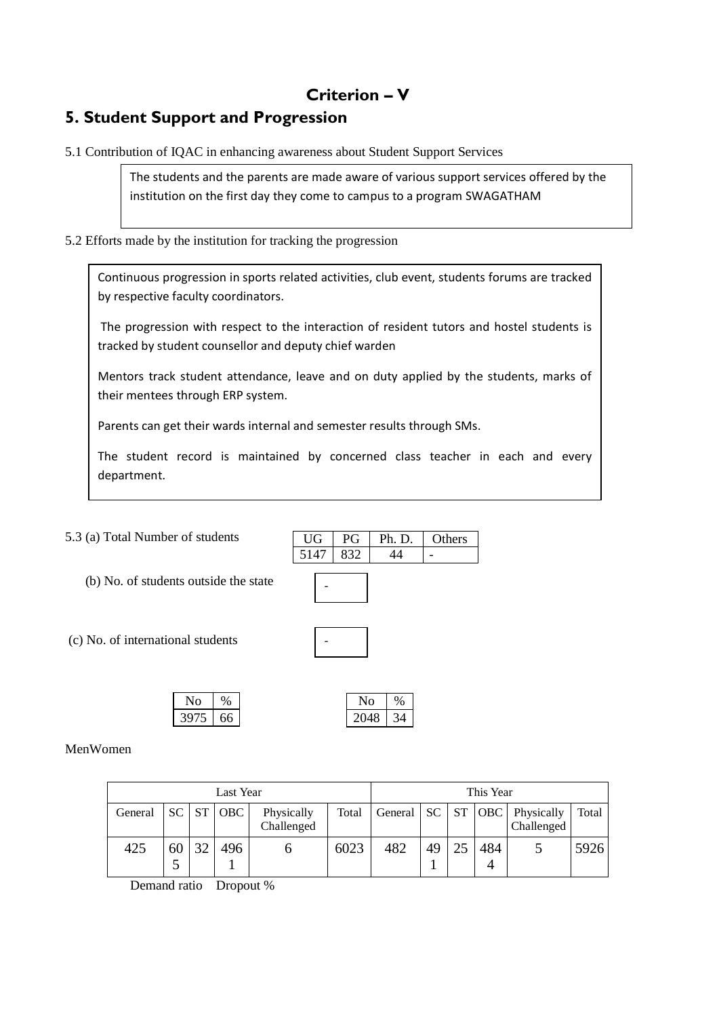# **Criterion – V**

# **5. Student Support and Progression**

5.1 Contribution of IQAC in enhancing awareness about Student Support Services

The students and the parents are made aware of various support services offered by the institution on the first day they come to campus to a program SWAGATHAM

5.2 Efforts made by the institution for tracking the progression

Continuous progression in sports related activities, club event, students forums are tracked by respective faculty coordinators.

The progression with respect to the interaction of resident tutors and hostel students is tracked by student counsellor and deputy chief warden

Mentors track student attendance, leave and on duty applied by the students, marks of their mentees through ERP system.

Parents can get their wards internal and semester results through SMs.

The student record is maintained by concerned class teacher in each and every department.

5.3 (a) Total Number of students

(b) No. of students outside the state

| <b>UG</b> | PG  | Ph. D. | Others |
|-----------|-----|--------|--------|
| 5147      | 832 |        |        |
|           |     |        |        |
|           |     |        |        |
|           |     |        |        |

(c) No. of international students

| No   | $\%$ |      |    |
|------|------|------|----|
| 3975 | 66   | 2048 | 34 |

MenWomen

| Last Year |         |    |                 | This Year                |       |                         |    |          |          |                          |       |
|-----------|---------|----|-----------------|--------------------------|-------|-------------------------|----|----------|----------|--------------------------|-------|
| General   |         |    | $SC$ $ST$ $OBC$ | Physically<br>Challenged | Total | General   SC   ST   OBC |    |          |          | Physically<br>Challenged | Total |
| 425       | 60<br>ັ | 32 | 496             |                          | 6023  | 482                     | 49 | $\gamma$ | 484<br>4 |                          | 5926  |

Demand ratio Dropout %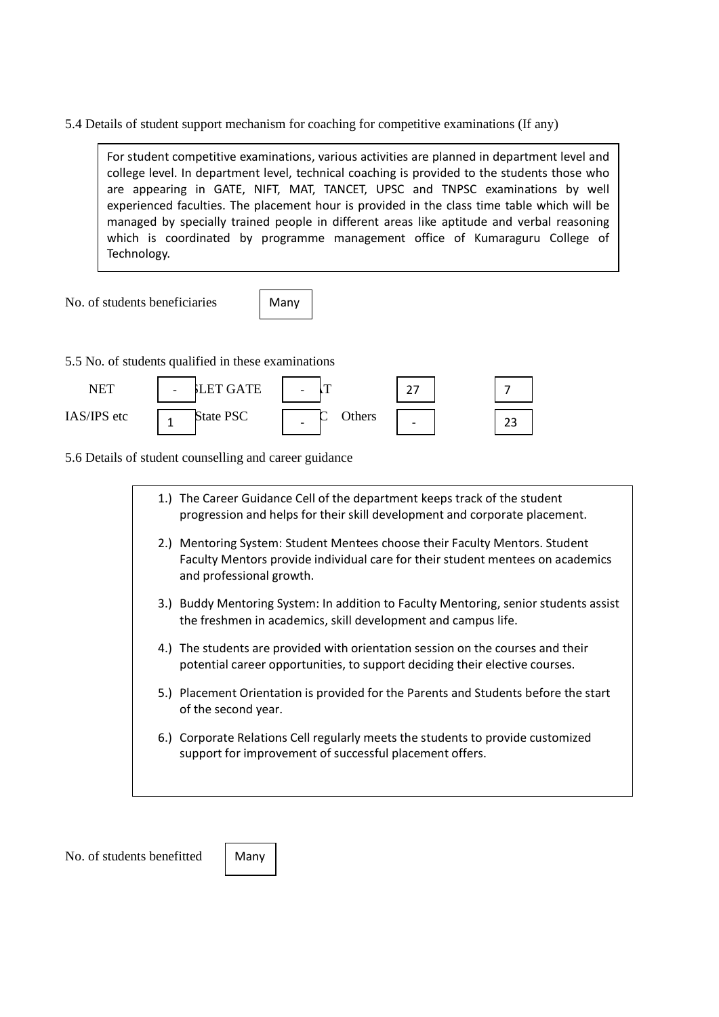5.4 Details of student support mechanism for coaching for competitive examinations (If any)

For student competitive examinations, various activities are planned in department level and college level. In department level, technical coaching is provided to the students those who are appearing in GATE, NIFT, MAT, TANCET, UPSC and TNPSC examinations by well experienced faculties. The placement hour is provided in the class time table which will be managed by specially trained people in different areas like aptitude and verbal reasoning which is coordinated by programme management office of Kumaraguru College of Technology.

No. of students beneficiaries

Many

5.5 No. of students qualified in these examinations

| NFT         | LET GATE<br>$\overline{\phantom{0}}$ |                                    |   |         |
|-------------|--------------------------------------|------------------------------------|---|---------|
| IAS/IPS etc | State PSC                            | Others<br>$\overline{\phantom{0}}$ | - | ∼<br>ںے |

5.6 Details of student counselling and career guidance

| 1. | The Career Guidance Cell of the department keeps track of the student<br>progression and helps for their skill development and corporate placement.                                       |
|----|-------------------------------------------------------------------------------------------------------------------------------------------------------------------------------------------|
|    | 2.) Mentoring System: Student Mentees choose their Faculty Mentors. Student<br>Faculty Mentors provide individual care for their student mentees on academics<br>and professional growth. |
|    | 3.) Buddy Mentoring System: In addition to Faculty Mentoring, senior students assist<br>the freshmen in academics, skill development and campus life.                                     |
|    | 4.) The students are provided with orientation session on the courses and their<br>potential career opportunities, to support deciding their elective courses.                            |
|    | 5.) Placement Orientation is provided for the Parents and Students before the start<br>of the second year.                                                                                |
|    | 6.) Corporate Relations Cell regularly meets the students to provide customized<br>support for improvement of successful placement offers.                                                |
|    |                                                                                                                                                                                           |

No. of students benefitted

Many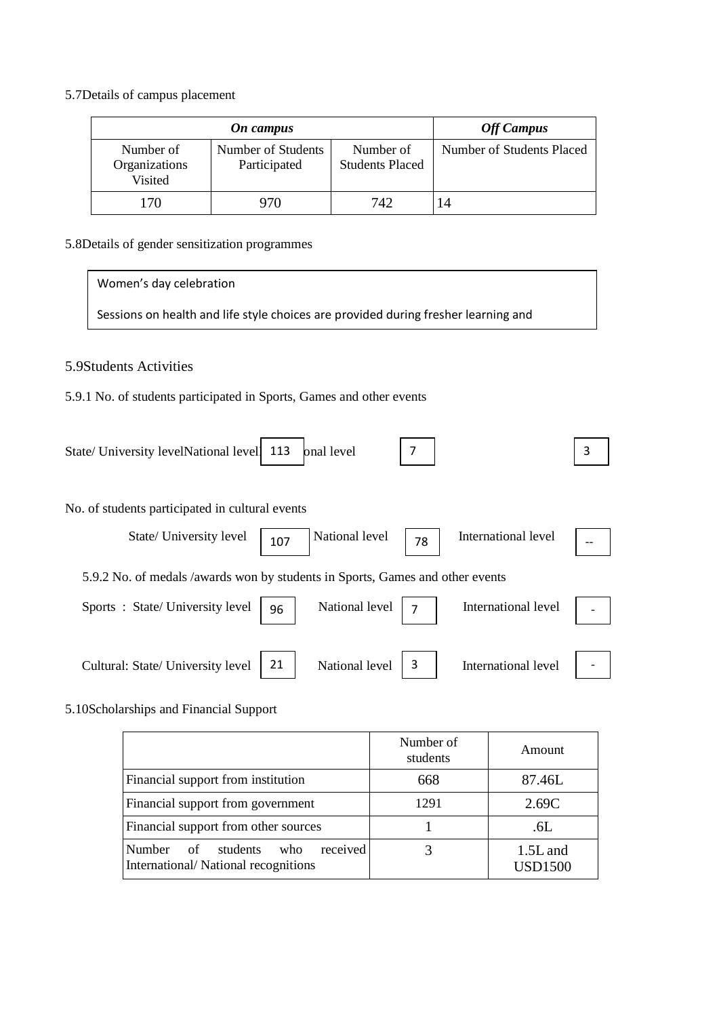5.7Details of campus placement

|                                       | <b>Off Campus</b>                  |                                     |                           |
|---------------------------------------|------------------------------------|-------------------------------------|---------------------------|
| Number of<br>Organizations<br>Visited | Number of Students<br>Participated | Number of<br><b>Students Placed</b> | Number of Students Placed |
| 170                                   | 970                                | 742                                 | 14                        |

5.8Details of gender sensitization programmes

5.9Students Activities 5.9.1 No. of students participated in Sports, Games and other events State/ University levelNational level<sup>1</sup> 113 No. of students participated in cultural events State/ University level  $\begin{array}{|c|c|c|}\n\hline\n & 107\n\end{array}$  National level  $\begin{array}{|c|c|c|}\n\hline\n & 78\n\end{array}$ 5.9.2 No. of medals /awards won by students in Sports, Games and other events Sports : State/ University level  $\begin{array}{|c|c|} \hline \end{array}$  96 National level  $\begin{array}{|c|c|} \hline \end{array}$ Women's day celebration Sessions on health and life style choices are provided during fresher learning and 113 7 3 International level International level

Cultural: State/ University level  $\begin{vmatrix} 21 \end{vmatrix}$  National level  $\begin{vmatrix} 3 \end{vmatrix}$ International level

5.10Scholarships and Financial Support

|                                                                                        | Number of<br>students | Amount                       |
|----------------------------------------------------------------------------------------|-----------------------|------------------------------|
| Financial support from institution                                                     | 668                   | 87.46L                       |
| Financial support from government                                                      | 1291                  | 2.69C                        |
| Financial support from other sources                                                   |                       | .6L                          |
| received<br><b>Number</b><br>of students<br>who<br>International/National recognitions |                       | $1.5L$ and<br><b>USD1500</b> |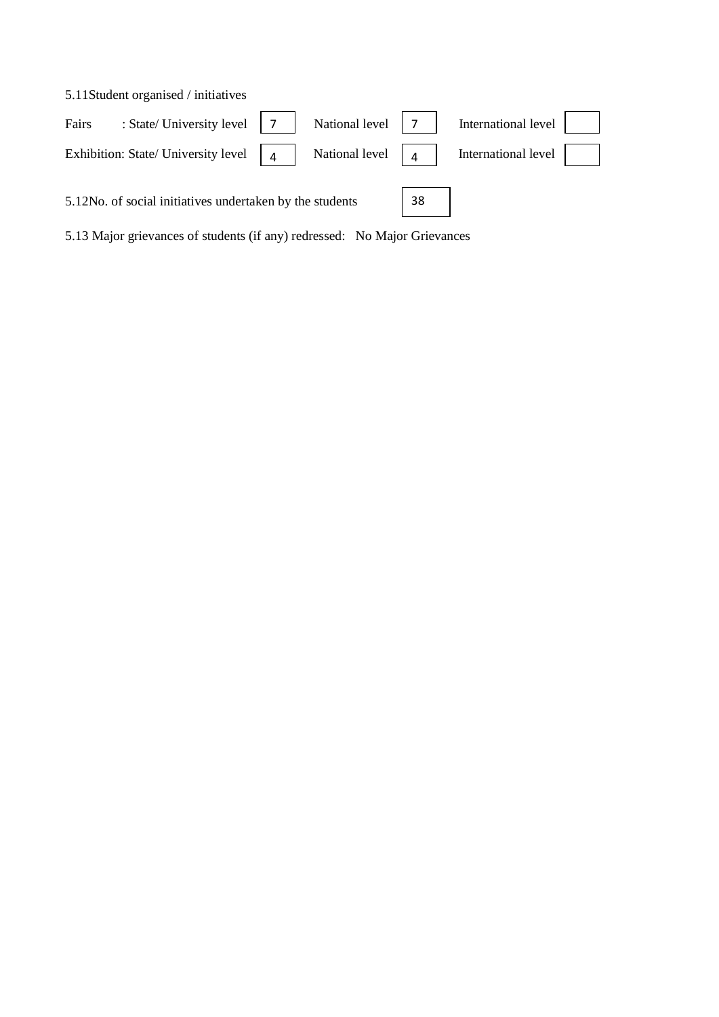|       | 5.11 Student organised / initiatives                     |   |                |    |                     |  |
|-------|----------------------------------------------------------|---|----------------|----|---------------------|--|
| Fairs | : State/ University level                                |   | National level |    | International level |  |
|       | Exhibition: State/ University level                      | 4 | National level | 4  | International level |  |
|       | 5.12No. of social initiatives undertaken by the students |   |                | 38 |                     |  |

5.13 Major grievances of students (if any) redressed: No Major Grievances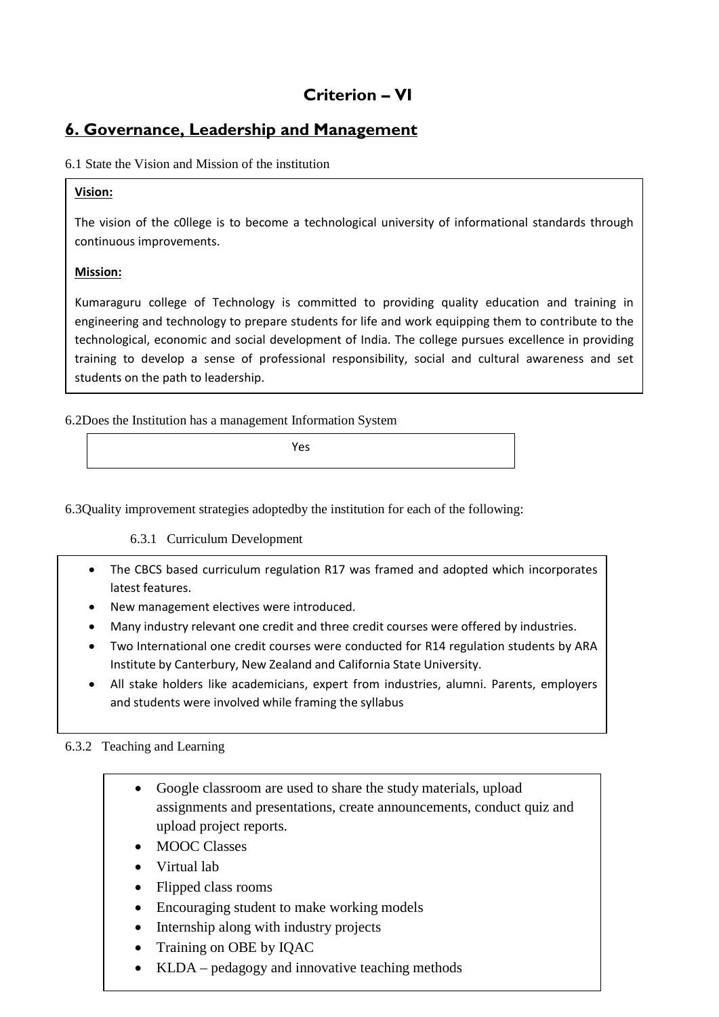# **Criterion – VI**

### **6. Governance, Leadership and Management**

### 6.1 State the Vision and Mission of the institution

### **Vision:**

The vision of the c0llege is to become a technological university of informational standards through continuous improvements.

### **Mission:**

Kumaraguru college of Technology is committed to providing quality education and training in engineering and technology to prepare students for life and work equipping them to contribute to the technological, economic and social development of India. The college pursues excellence in providing training to develop a sense of professional responsibility, social and cultural awareness and set students on the path to leadership.

6.2Does the Institution has a management Information System

Yes

6.3Quality improvement strategies adoptedby the institution for each of the following:

### 6.3.1 Curriculum Development

- The CBCS based curriculum regulation R17 was framed and adopted which incorporates latest features.
- New management electives were introduced.
- Many industry relevant one credit and three credit courses were offered by industries.
- Two International one credit courses were conducted for R14 regulation students by ARA Institute by Canterbury, New Zealand and California State University.
- All stake holders like academicians, expert from industries, alumni. Parents, employers and students were involved while framing the syllabus

### 6.3.2 Teaching and Learning

- Google classroom are used to share the study materials, upload assignments and presentations, create announcements, conduct quiz and upload project reports.
- MOOC Classes
- Virtual lab
- Flipped class rooms
- Encouraging student to make working models
- Internship along with industry projects
- Training on OBE by IQAC
- KLDA pedagogy and innovative teaching methods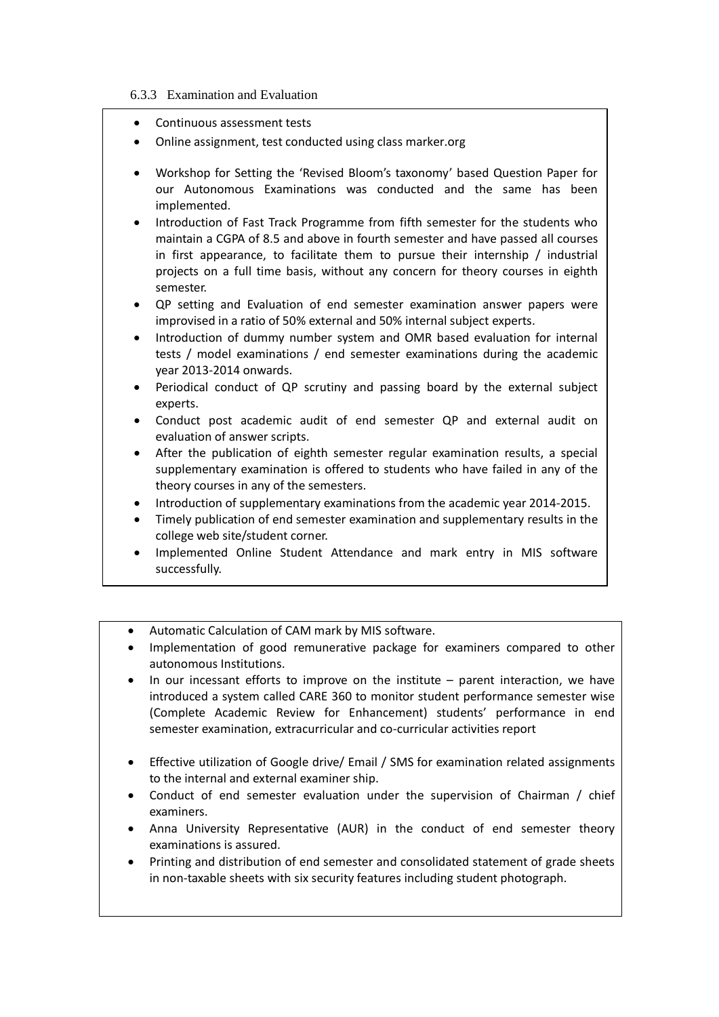#### 6.3.3 Examination and Evaluation

- Continuous assessment tests
- Online assignment, test conducted using class marker.org
- Workshop for Setting the 'Revised Bloom's taxonomy' based Question Paper for our Autonomous Examinations was conducted and the same has been implemented.
- Introduction of Fast Track Programme from fifth semester for the students who maintain a CGPA of 8.5 and above in fourth semester and have passed all courses in first appearance, to facilitate them to pursue their internship / industrial projects on a full time basis, without any concern for theory courses in eighth semester.
- QP setting and Evaluation of end semester examination answer papers were improvised in a ratio of 50% external and 50% internal subject experts.
- Introduction of dummy number system and OMR based evaluation for internal tests / model examinations / end semester examinations during the academic year 2013-2014 onwards.
- Periodical conduct of QP scrutiny and passing board by the external subject experts.
- Conduct post academic audit of end semester QP and external audit on evaluation of answer scripts.
- After the publication of eighth semester regular examination results, a special supplementary examination is offered to students who have failed in any of the theory courses in any of the semesters.
- Introduction of supplementary examinations from the academic year 2014-2015.
- Timely publication of end semester examination and supplementary results in the college web site/student corner.
- Implemented Online Student Attendance and mark entry in MIS software successfully.
- Automatic Calculation of CAM mark by MIS software.
- Implementation of good remunerative package for examiners compared to other autonomous Institutions.
- In our incessant efforts to improve on the institute parent interaction, we have introduced a system called CARE 360 to monitor student performance semester wise (Complete Academic Review for Enhancement) students' performance in end semester examination, extracurricular and co-curricular activities report
- Effective utilization of Google drive/ Email / SMS for examination related assignments to the internal and external examiner ship.
- Conduct of end semester evaluation under the supervision of Chairman / chief examiners.
- Anna University Representative (AUR) in the conduct of end semester theory examinations is assured.
- Printing and distribution of end semester and consolidated statement of grade sheets in non-taxable sheets with six security features including student photograph.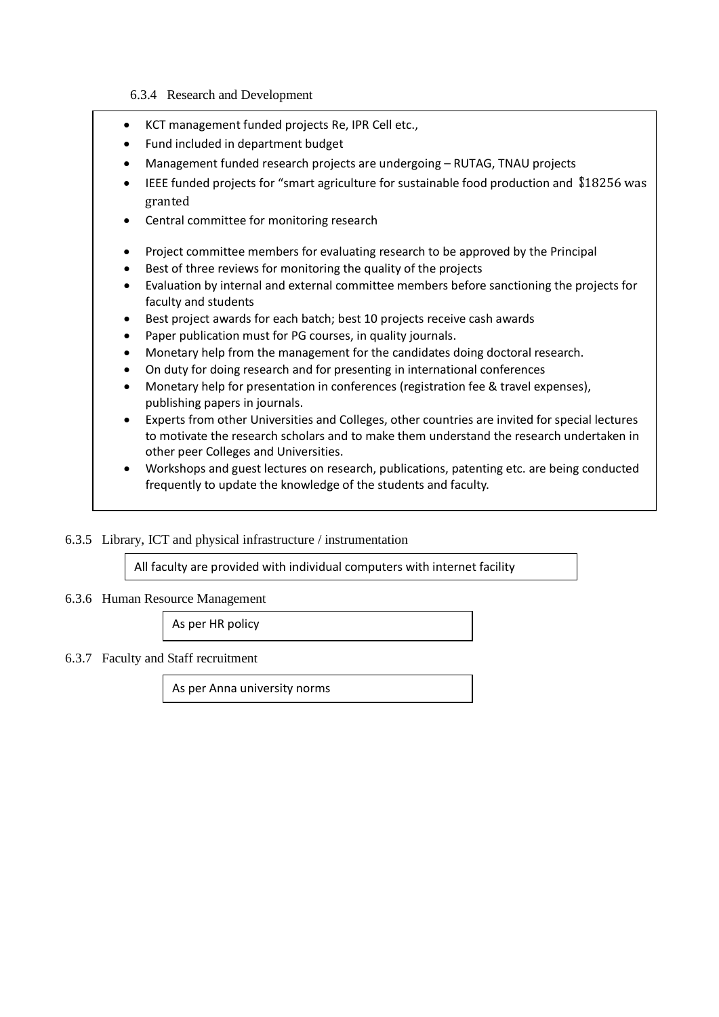### 6.3.4 Research and Development

- KCT management funded projects Re, IPR Cell etc.,
- Fund included in department budget
- Management funded research projects are undergoing RUTAG, TNAU projects
- IEEE funded projects for "smart agriculture for sustainable food production and \$18256 was granted
- Central committee for monitoring research
- Project committee members for evaluating research to be approved by the Principal
- Best of three reviews for monitoring the quality of the projects
- Evaluation by internal and external committee members before sanctioning the projects for faculty and students
- Best project awards for each batch; best 10 projects receive cash awards
- Paper publication must for PG courses, in quality journals.
- Monetary help from the management for the candidates doing doctoral research.
- On duty for doing research and for presenting in international conferences
- Monetary help for presentation in conferences (registration fee & travel expenses), publishing papers in journals.
- Experts from other Universities and Colleges, other countries are invited for special lectures to motivate the research scholars and to make them understand the research undertaken in other peer Colleges and Universities.
- Workshops and guest lectures on research, publications, patenting etc. are being conducted frequently to update the knowledge of the students and faculty.

### 6.3.5 Library, ICT and physical infrastructure / instrumentation

All faculty are provided with individual computers with internet facility

#### 6.3.6 Human Resource Management

As per HR policy

#### 6.3.7 Faculty and Staff recruitment

As per Anna university norms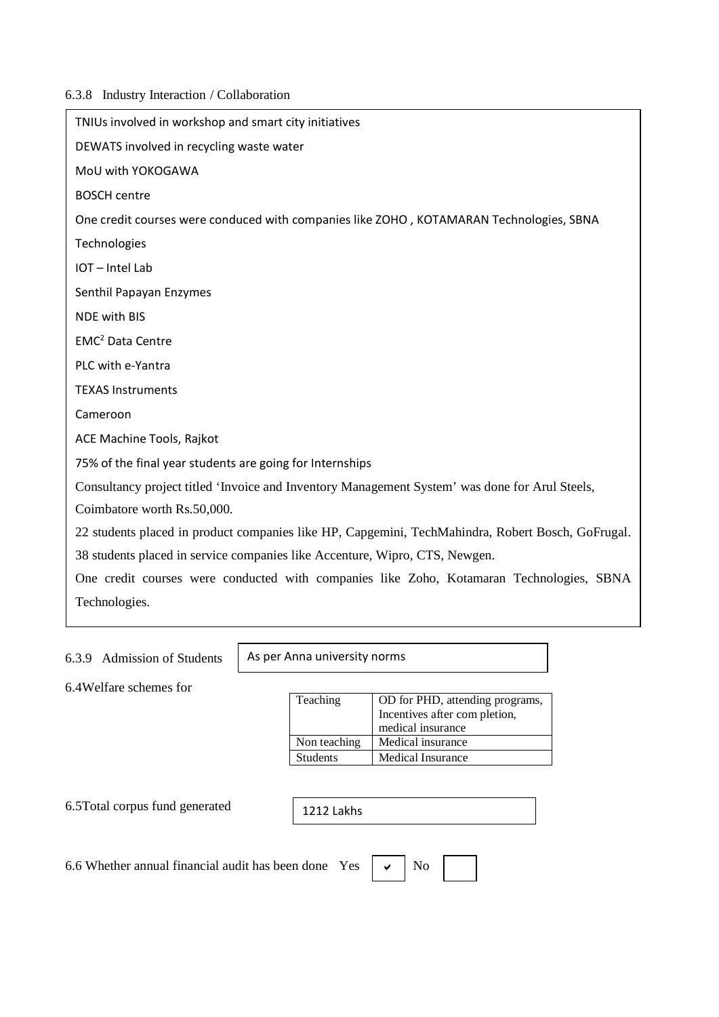### 6.3.8 Industry Interaction / Collaboration

| TNIUs involved in workshop and smart city initiatives                                             |
|---------------------------------------------------------------------------------------------------|
| DEWATS involved in recycling waste water                                                          |
| MoU with YOKOGAWA                                                                                 |
| <b>BOSCH centre</b>                                                                               |
| One credit courses were conduced with companies like ZOHO, KOTAMARAN Technologies, SBNA           |
| Technologies                                                                                      |
| IOT-Intel Lab                                                                                     |
| Senthil Papayan Enzymes                                                                           |
| NDE with BIS                                                                                      |
| EMC <sup>2</sup> Data Centre                                                                      |
| PLC with e-Yantra                                                                                 |
| <b>TEXAS Instruments</b>                                                                          |
| Cameroon                                                                                          |
| ACE Machine Tools, Rajkot                                                                         |
| 75% of the final year students are going for Internships                                          |
| Consultancy project titled 'Invoice and Inventory Management System' was done for Arul Steels,    |
| Coimbatore worth Rs.50,000.                                                                       |
| 22 students placed in product companies like HP, Capgemini, TechMahindra, Robert Bosch, GoFrugal. |
| 38 students placed in service companies like Accenture, Wipro, CTS, Newgen.                       |
| One credit courses were conducted with companies like Zoho, Kotamaran Technologies, SBNA          |
| Technologies.                                                                                     |
|                                                                                                   |

### 6.3.9 Admission of Students

As per Anna university norms

6.4Welfare schemes for

| Teaching        | OD for PHD, attending programs, |  |  |  |
|-----------------|---------------------------------|--|--|--|
|                 | Incentives after com pletion,   |  |  |  |
|                 | medical insurance               |  |  |  |
| Non teaching    | Medical insurance               |  |  |  |
| <b>Students</b> | <b>Medical Insurance</b>        |  |  |  |
|                 |                                 |  |  |  |

6.5Total corpus fund generated

| $\vert$ 1212 Lakhs |  |
|--------------------|--|
|--------------------|--|

6.6 Whether annual financial audit has been done Yes

| v | Nο |
|---|----|
|---|----|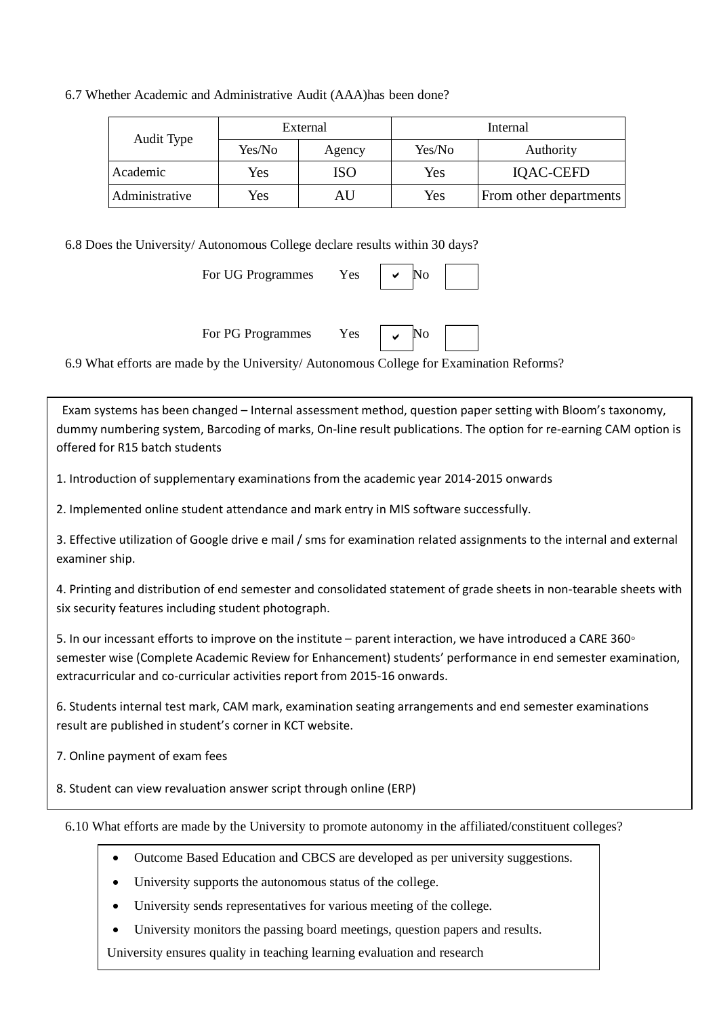### 6.7 Whether Academic and Administrative Audit (AAA)has been done?

|                |            | External | Internal |                        |  |
|----------------|------------|----------|----------|------------------------|--|
| Audit Type     | Yes/No     | Agency   | Yes/No   | Authority              |  |
| Academic       | Yes        | ISO      | Yes      | IQAC-CEFD              |  |
| Administrative | <b>Yes</b> | AU       | Yes      | From other departments |  |

6.8 Does the University/ Autonomous College declare results within 30 days?

For UG Programmes Yes  $\checkmark$ 

For PG Programmes Yes  $\vert \downarrow \vert$  No

 $\checkmark$ 

6.9 What efforts are made by the University/ Autonomous College for Examination Reforms?

 Exam systems has been changed – Internal assessment method, question paper setting with Bloom's taxonomy, dummy numbering system, Barcoding of marks, On-line result publications. The option for re-earning CAM option is offered for R15 batch students

1. Introduction of supplementary examinations from the academic year 2014-2015 onwards

2. Implemented online student attendance and mark entry in MIS software successfully.

3. Effective utilization of Google drive e mail / sms for examination related assignments to the internal and external examiner ship.

4. Printing and distribution of end semester and consolidated statement of grade sheets in non-tearable sheets with six security features including student photograph.

5. In our incessant efforts to improve on the institute – parent interaction, we have introduced a CARE 360◦ semester wise (Complete Academic Review for Enhancement) students' performance in end semester examination, extracurricular and co-curricular activities report from 2015-16 onwards.

6. Students internal test mark, CAM mark, examination seating arrangements and end semester examinations result are published in student's corner in KCT website.

7. Online payment of exam fees

8. Student can view revaluation answer script through online (ERP)

6.10 What efforts are made by the University to promote autonomy in the affiliated/constituent colleges?

- Outcome Based Education and CBCS are developed as per university suggestions.
- University supports the autonomous status of the college.
- University sends representatives for various meeting of the college.
- University monitors the passing board meetings, question papers and results.

University ensures quality in teaching learning evaluation and research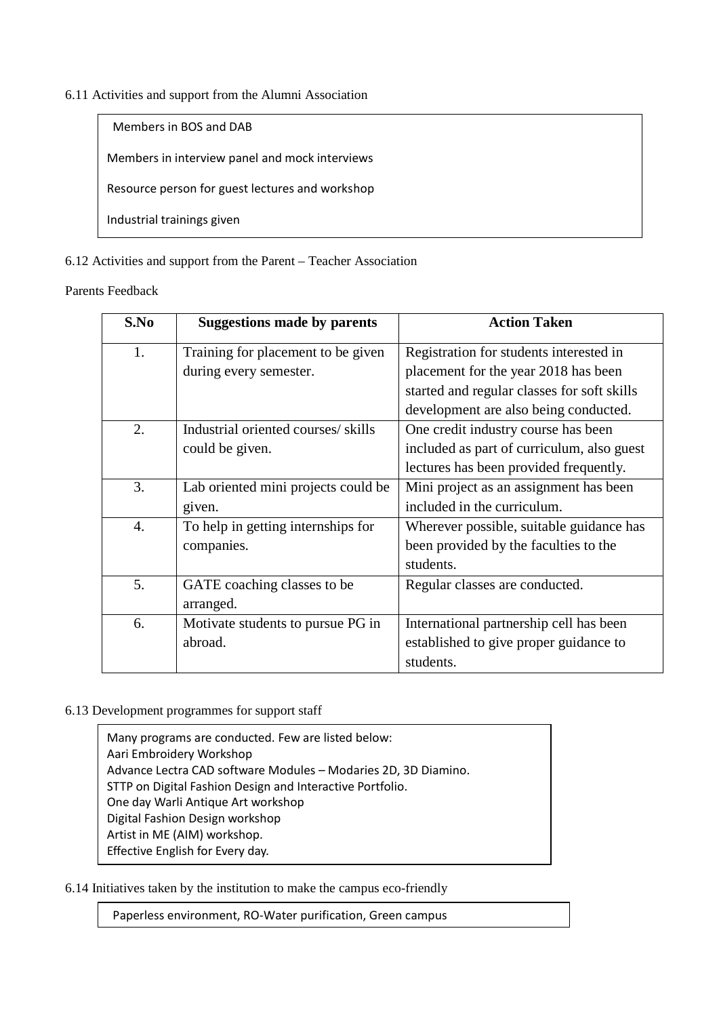### 6.11 Activities and support from the Alumni Association

Members in BOS and DAB

Members in interview panel and mock interviews

Resource person for guest lectures and workshop

Industrial trainings given

### 6.12 Activities and support from the Parent – Teacher Association

#### Parents Feedback

| S.No             | <b>Suggestions made by parents</b>                                            | <b>Action Taken</b>                         |  |
|------------------|-------------------------------------------------------------------------------|---------------------------------------------|--|
| 1.               | Registration for students interested in<br>Training for placement to be given |                                             |  |
|                  | during every semester.                                                        | placement for the year 2018 has been        |  |
|                  |                                                                               | started and regular classes for soft skills |  |
|                  |                                                                               | development are also being conducted.       |  |
| 2.               | Industrial oriented courses/skills                                            | One credit industry course has been         |  |
|                  | could be given.                                                               | included as part of curriculum, also guest  |  |
|                  |                                                                               | lectures has been provided frequently.      |  |
| 3.               | Lab oriented mini projects could be                                           | Mini project as an assignment has been      |  |
|                  | given.                                                                        | included in the curriculum.                 |  |
| $\overline{4}$ . | To help in getting internships for                                            | Wherever possible, suitable guidance has    |  |
|                  | companies.                                                                    | been provided by the faculties to the       |  |
|                  |                                                                               | students.                                   |  |
| 5.               | GATE coaching classes to be                                                   | Regular classes are conducted.              |  |
|                  | arranged.                                                                     |                                             |  |
| 6.               | Motivate students to pursue PG in                                             | International partnership cell has been     |  |
|                  | abroad.                                                                       | established to give proper guidance to      |  |
|                  |                                                                               | students.                                   |  |

### 6.13 Development programmes for support staff

ֺ֝

Many programs are conducted. Few are listed below: Aari Embroidery Workshop Advance Lectra CAD software Modules – Modaries 2D, 3D Diamino. STTP on Digital Fashion Design and Interactive Portfolio. One day Warli Antique Art workshop Digital Fashion Design workshop Artist in ME (AIM) workshop. Effective English for Every day.

6.14 Initiatives taken by the institution to make the campus eco-friendly

Paperless environment, RO-Water purification, Green campus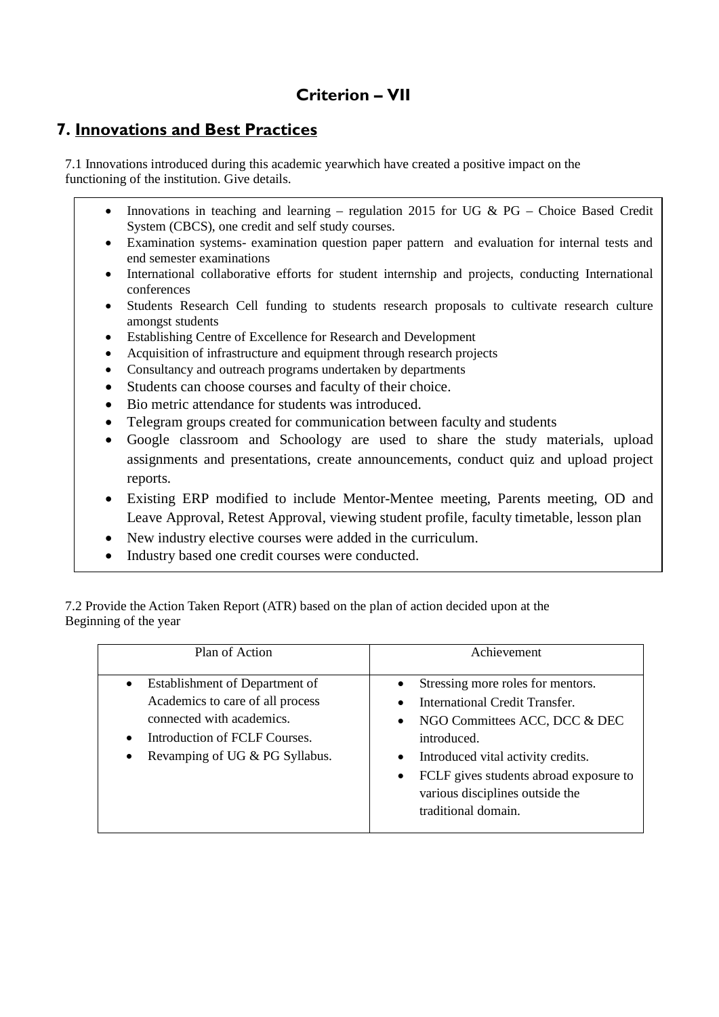# **Criterion – VII**

# **7. Innovations and Best Practices**

7.1 Innovations introduced during this academic yearwhich have created a positive impact on the functioning of the institution. Give details.

- Innovations in teaching and learning regulation 2015 for UG &  $PG$  Choice Based Credit System (CBCS), one credit and self study courses.
- Examination systems- examination question paper pattern and evaluation for internal tests and end semester examinations
- International collaborative efforts for student internship and projects, conducting International conferences
- Students Research Cell funding to students research proposals to cultivate research culture amongst students
- Establishing Centre of Excellence for Research and Development
- Acquisition of infrastructure and equipment through research projects
- Consultancy and outreach programs undertaken by departments
- Students can choose courses and faculty of their choice.
- Bio metric attendance for students was introduced.
- Telegram groups created for communication between faculty and students
- Google classroom and Schoology are used to share the study materials, upload assignments and presentations, create announcements, conduct quiz and upload project reports.
- Existing ERP modified to include Mentor-Mentee meeting, Parents meeting, OD and Leave Approval, Retest Approval, viewing student profile, faculty timetable, lesson plan
- New industry elective courses were added in the curriculum.
- Industry based one credit courses were conducted.

7.2 Provide the Action Taken Report (ATR) based on the plan of action decided upon at the Beginning of the year

| Plan of Action                   | Achievement                            |
|----------------------------------|----------------------------------------|
| Establishment of Department of   | Stressing more roles for mentors.      |
| $\bullet$                        | International Credit Transfer.         |
| Academics to care of all process | NGO Committees ACC, DCC & DEC          |
| connected with academics.        | introduced.                            |
| Introduction of FCLF Courses.    | Introduced vital activity credits.     |
| $\bullet$                        | FCLF gives students abroad exposure to |
| Revamping of UG & PG Syllabus.   | various disciplines outside the        |
| $\bullet$                        | traditional domain.                    |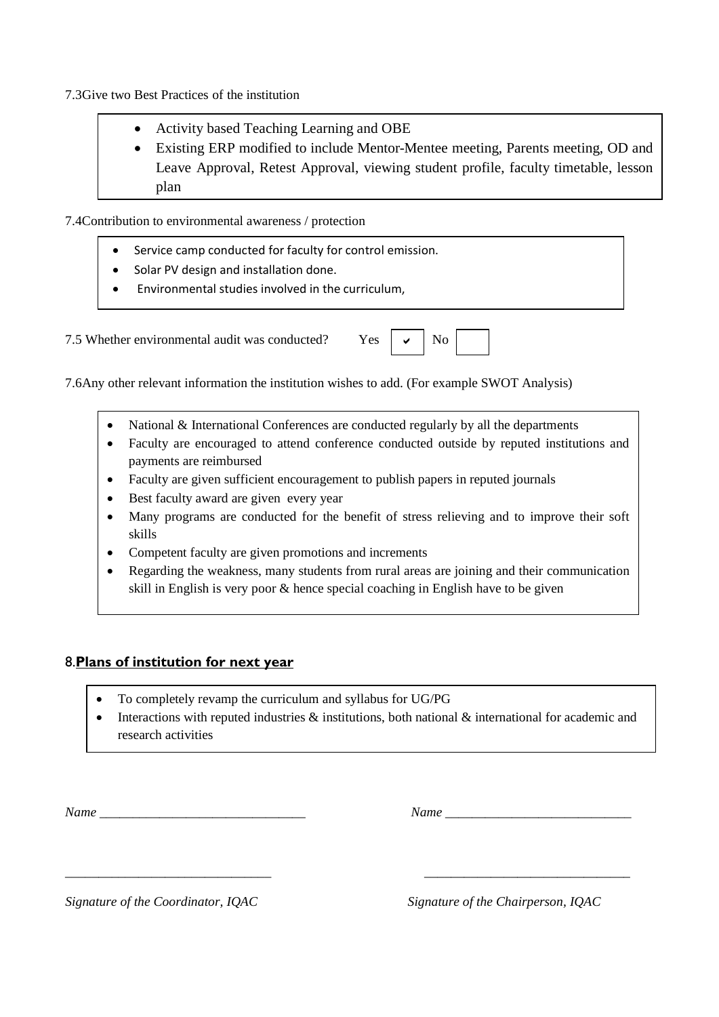7.3Give two Best Practices of the institution

- Activity based Teaching Learning and OBE
- Existing ERP modified to include Mentor-Mentee meeting, Parents meeting, OD and Leave Approval, Retest Approval, viewing student profile, faculty timetable, lesson plan

7.4Contribution to environmental awareness / protection

- Service camp conducted for faculty for control emission.
- Solar PV design and installation done.
- Environmental studies involved in the curriculum,

7.5 Whether environmental audit was conducted? Yes  $\vert \vee \vert$  No  $\checkmark$ 

7.6Any other relevant information the institution wishes to add. (For example SWOT Analysis)

- National & International Conferences are conducted regularly by all the departments
- Faculty are encouraged to attend conference conducted outside by reputed institutions and payments are reimbursed
- Faculty are given sufficient encouragement to publish papers in reputed journals
- Best faculty award are given every year
- Many programs are conducted for the benefit of stress relieving and to improve their soft skills
- Competent faculty are given promotions and increments
- Regarding the weakness, many students from rural areas are joining and their communication skill in English is very poor & hence special coaching in English have to be given

### 8.**Plans of institution for next year**

- To completely revamp the curriculum and syllabus for UG/PG
- Interactions with reputed industries  $\&$  institutions, both national  $\&$  international for academic and research activities

*\_\_\_\_\_\_\_\_\_\_\_\_\_\_\_\_\_\_\_\_\_\_\_\_\_\_\_\_\_\_\_ \_\_\_\_\_\_\_\_\_\_\_\_\_\_\_\_\_\_\_\_\_\_\_\_\_\_\_\_\_\_\_* 

*Name \_\_\_\_\_\_\_\_\_\_\_\_\_\_\_\_\_\_\_\_\_\_\_\_\_\_\_\_\_\_\_ Name \_\_\_\_\_\_\_\_\_\_\_\_\_\_\_\_\_\_\_\_\_\_\_\_\_\_\_\_*

*Signature of the Coordinator, IQAC Signature of the Chairperson, IQAC*